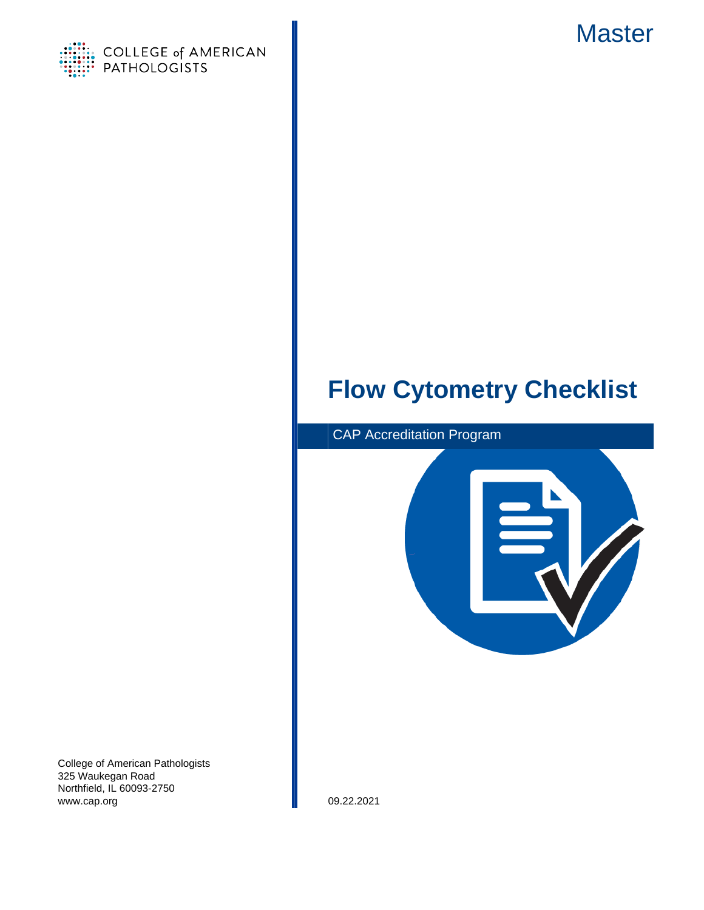



# **Flow Cytometry Checklist**



College of American Pathologists 325 Waukegan Road Northfield, IL 60093-2750 www.cap.org 09.22.2021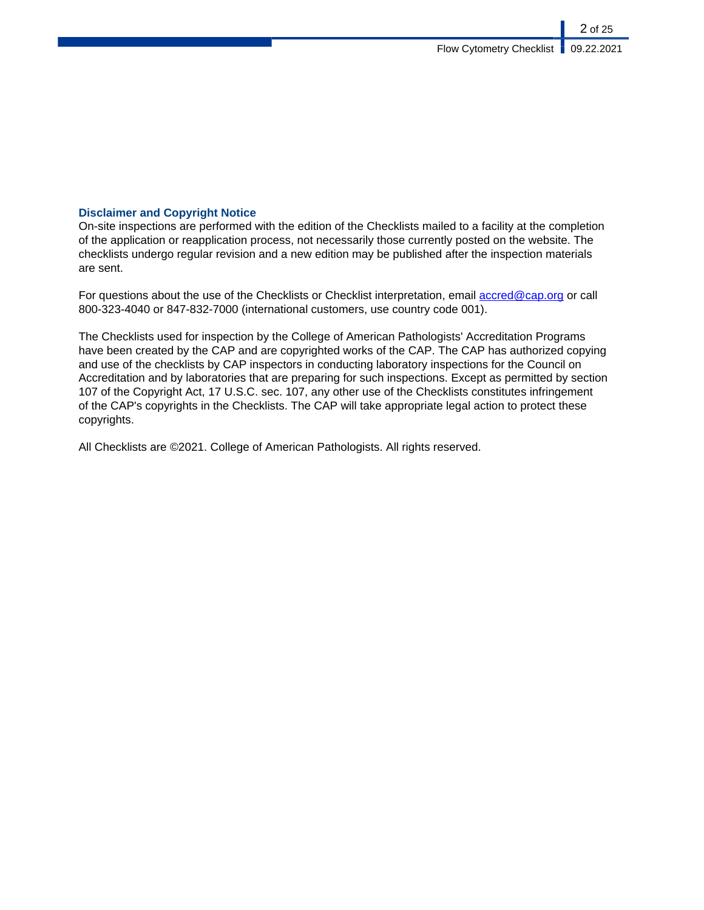### **Disclaimer and Copyright Notice**

On-site inspections are performed with the edition of the Checklists mailed to a facility at the completion of the application or reapplication process, not necessarily those currently posted on the website. The checklists undergo regular revision and a new edition may be published after the inspection materials are sent.

For questions about the use of the Checklists or Checklist interpretation, email [accred@cap.org](mailto:accred@cap.org) or call 800-323-4040 or 847-832-7000 (international customers, use country code 001).

The Checklists used for inspection by the College of American Pathologists' Accreditation Programs have been created by the CAP and are copyrighted works of the CAP. The CAP has authorized copying and use of the checklists by CAP inspectors in conducting laboratory inspections for the Council on Accreditation and by laboratories that are preparing for such inspections. Except as permitted by section 107 of the Copyright Act, 17 U.S.C. sec. 107, any other use of the Checklists constitutes infringement of the CAP's copyrights in the Checklists. The CAP will take appropriate legal action to protect these copyrights.

All Checklists are ©2021. College of American Pathologists. All rights reserved.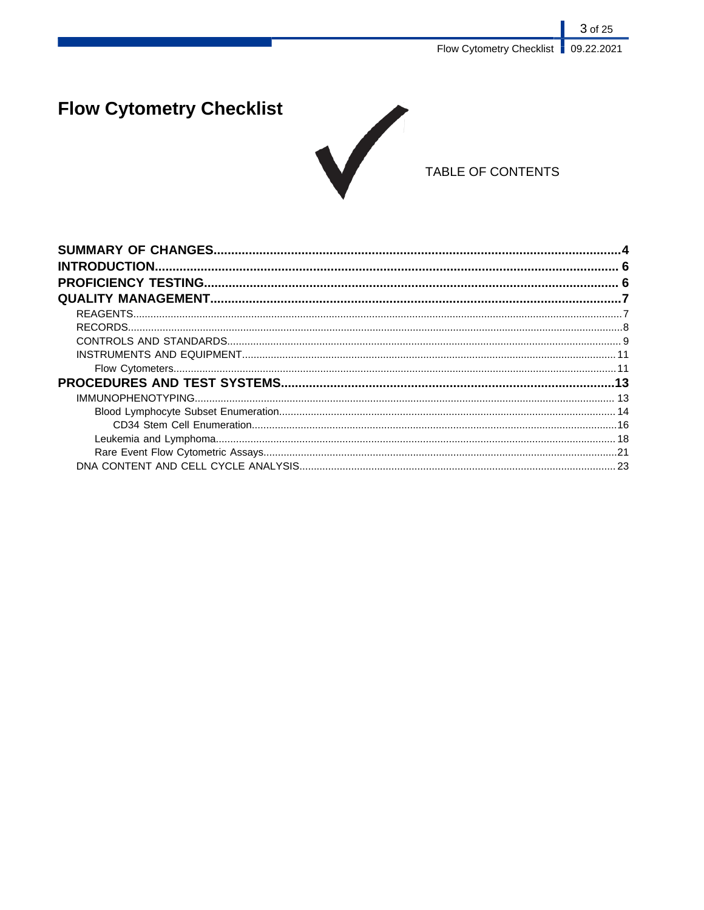# **Flow Cytometry Checklist**



## TABLE OF CONTENTS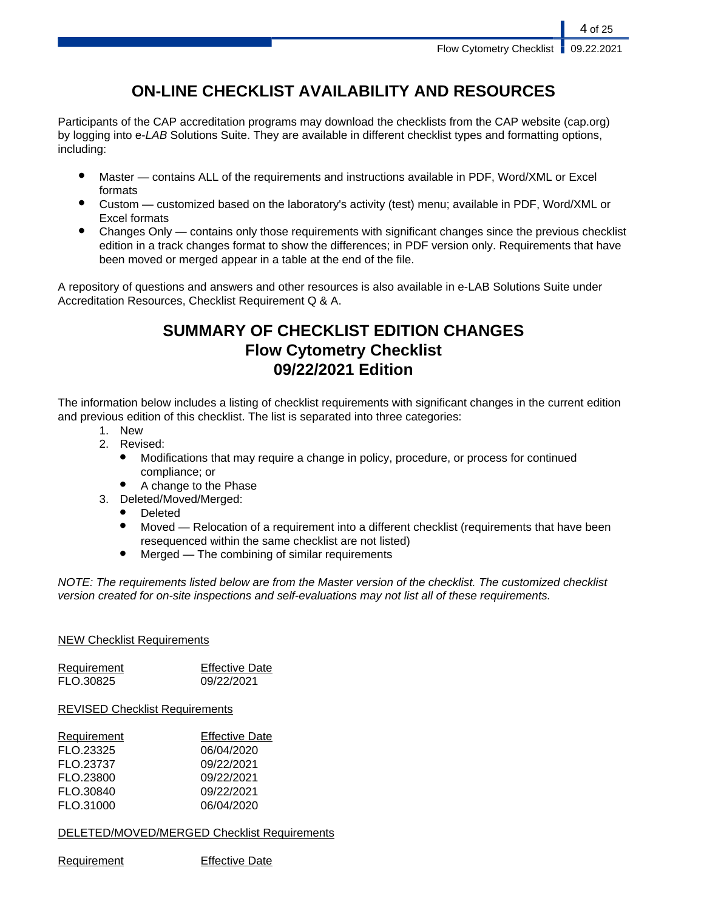## **ON-LINE CHECKLIST AVAILABILITY AND RESOURCES**

Participants of the CAP accreditation programs may download the checklists from the CAP website (cap.org) by logging into e-LAB Solutions Suite. They are available in different checklist types and formatting options, including:

- Master contains ALL of the requirements and instructions available in PDF, Word/XML or Excel formats
- Custom customized based on the laboratory's activity (test) menu; available in PDF, Word/XML or Excel formats
- Changes Only  $-$  contains only those requirements with significant changes since the previous checklist edition in a track changes format to show the differences; in PDF version only. Requirements that have been moved or merged appear in a table at the end of the file.

A repository of questions and answers and other resources is also available in e-LAB Solutions Suite under Accreditation Resources, Checklist Requirement Q & A.

## **SUMMARY OF CHECKLIST EDITION CHANGES Flow Cytometry Checklist 09/22/2021 Edition**

The information below includes a listing of checklist requirements with significant changes in the current edition and previous edition of this checklist. The list is separated into three categories:

- 1. New
- 2. Revised:
	- Modifications that may require a change in policy, procedure, or process for continued compliance; or
	- A change to the Phase
- 3. Deleted/Moved/Merged:
	- Deleted
	- Moved Relocation of a requirement into a different checklist (requirements that have been resequenced within the same checklist are not listed)
	- $Mered$  The combining of similar requirements

NOTE: The requirements listed below are from the Master version of the checklist. The customized checklist version created for on-site inspections and self-evaluations may not list all of these requirements.

### NEW Checklist Requirements

| Requirement | <b>Effective Date</b> |
|-------------|-----------------------|
| FLO.30825   | 09/22/2021            |

### REVISED Checklist Requirements

| Requirement | <b>Effective Date</b> |
|-------------|-----------------------|
| FLO.23325   | 06/04/2020            |
| FLO.23737   | 09/22/2021            |
| FLO.23800   | 09/22/2021            |
| FLO.30840   | 09/22/2021            |
| FLO.31000   | 06/04/2020            |

DELETED/MOVED/MERGED Checklist Requirements

Requirement Effective Date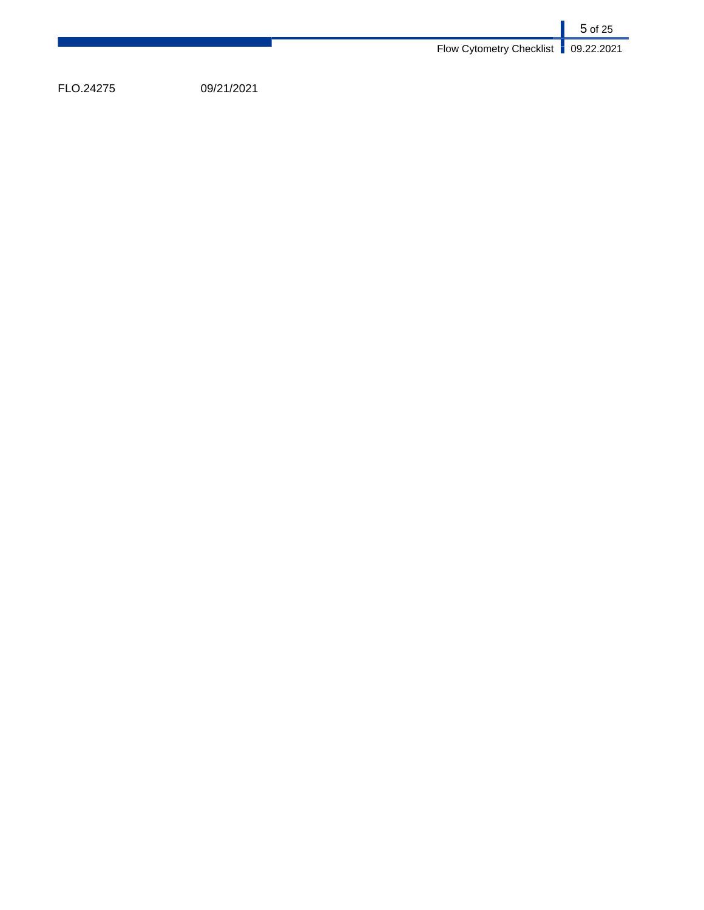|                                       | 5 of 25 |
|---------------------------------------|---------|
| Flow Cytometry Checklist   09.22.2021 |         |

FLO.24275 09/21/2021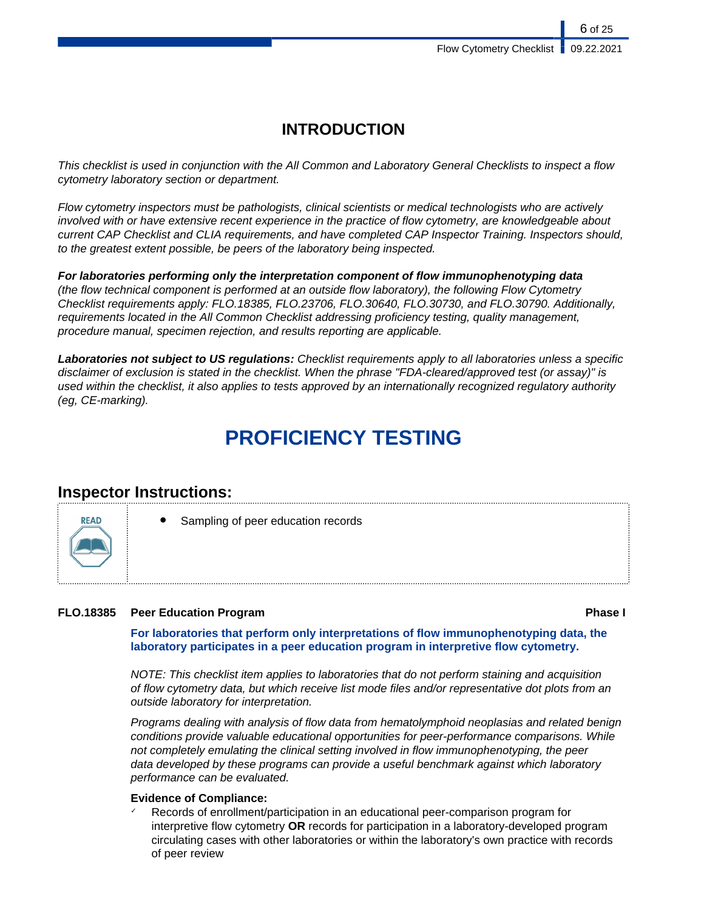## **INTRODUCTION**

This checklist is used in conjunction with the All Common and Laboratory General Checklists to inspect a flow cytometry laboratory section or department.

Flow cytometry inspectors must be pathologists, clinical scientists or medical technologists who are actively involved with or have extensive recent experience in the practice of flow cytometry, are knowledgeable about current CAP Checklist and CLIA requirements, and have completed CAP Inspector Training. Inspectors should, to the greatest extent possible, be peers of the laboratory being inspected.

**For laboratories performing only the interpretation component of flow immunophenotyping data** (the flow technical component is performed at an outside flow laboratory), the following Flow Cytometry Checklist requirements apply: FLO.18385, FLO.23706, FLO.30640, FLO.30730, and FLO.30790. Additionally, requirements located in the All Common Checklist addressing proficiency testing, quality management, procedure manual, specimen rejection, and results reporting are applicable.

**Laboratories not subject to US regulations:** Checklist requirements apply to all laboratories unless a specific disclaimer of exclusion is stated in the checklist. When the phrase "FDA-cleared/approved test (or assay)" is used within the checklist, it also applies to tests approved by an internationally recognized regulatory authority (eg, CE-marking).

# **PROFICIENCY TESTING**

## **Inspector Instructions:**

**RFAD** 

Sampling of peer education records

### **FLO.18385 Peer Education Program Phase I**

**For laboratories that perform only interpretations of flow immunophenotyping data, the laboratory participates in a peer education program in interpretive flow cytometry.**

NOTE: This checklist item applies to laboratories that do not perform staining and acquisition of flow cytometry data, but which receive list mode files and/or representative dot plots from an outside laboratory for interpretation.

Programs dealing with analysis of flow data from hematolymphoid neoplasias and related benign conditions provide valuable educational opportunities for peer-performance comparisons. While not completely emulating the clinical setting involved in flow immunophenotyping, the peer data developed by these programs can provide a useful benchmark against which laboratory performance can be evaluated.

### **Evidence of Compliance:**

Records of enrollment/participation in an educational peer-comparison program for interpretive flow cytometry **OR** records for participation in a laboratory-developed program circulating cases with other laboratories or within the laboratory's own practice with records of peer review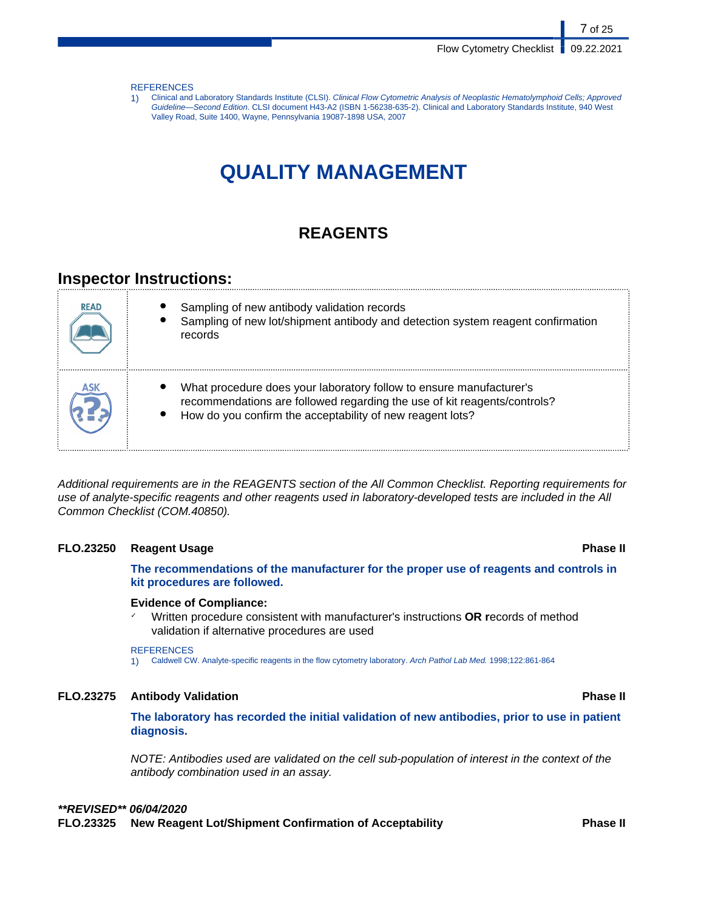#### **REFERENCES**

1) Clinical and Laboratory Standards Institute (CLSI). Clinical Flow Cytometric Analysis of Neoplastic Hematolymphoid Cells; Approved Guideline—Second Edition. CLSI document H43-A2 (ISBN 1-56238-635-2). Clinical and Laboratory Standards Institute, 940 West Valley Road, Suite 1400, Wayne, Pennsylvania 19087-1898 USA, 2007

## **QUALITY MANAGEMENT**

## **REAGENTS**

## **Inspector Instructions:**

| <b>READ</b> | Sampling of new antibody validation records<br>Sampling of new lot/shipment antibody and detection system reagent confirmation<br>records                                                                    |
|-------------|--------------------------------------------------------------------------------------------------------------------------------------------------------------------------------------------------------------|
| ASK         | What procedure does your laboratory follow to ensure manufacturer's<br>recommendations are followed regarding the use of kit reagents/controls?<br>How do you confirm the acceptability of new reagent lots? |

Additional requirements are in the REAGENTS section of the All Common Checklist. Reporting requirements for use of analyte-specific reagents and other reagents used in laboratory-developed tests are included in the All Common Checklist (COM.40850).

#### **FLO.23250 Reagent Usage Phase II**

**The recommendations of the manufacturer for the proper use of reagents and controls in kit procedures are followed.**

#### **Evidence of Compliance:**

✓ Written procedure consistent with manufacturer's instructions **OR r**ecords of method validation if alternative procedures are used

#### **REFERENCES**

1) Caldwell CW. Analyte-specific reagents in the flow cytometry laboratory. Arch Pathol Lab Med. 1998;122:861-864

#### **FLO.23275 Antibody Validation Phase II**

**The laboratory has recorded the initial validation of new antibodies, prior to use in patient diagnosis.**

NOTE: Antibodies used are validated on the cell sub-population of interest in the context of the antibody combination used in an assay.

### **\*\*REVISED\*\* 06/04/2020**

**FLO.23325 New Reagent Lot/Shipment Confirmation of Acceptability Phase II**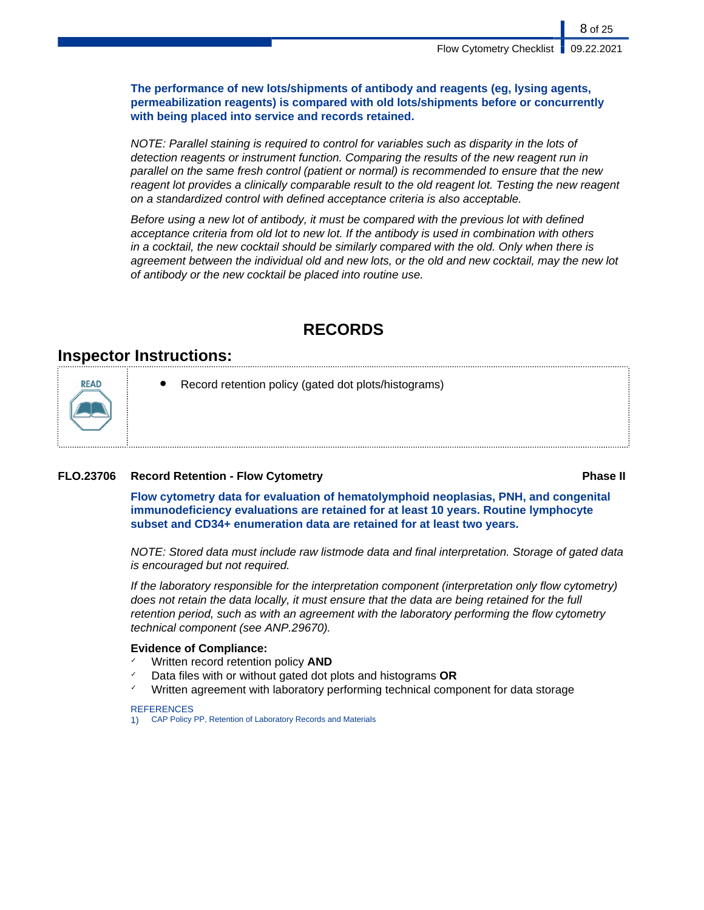**The performance of new lots/shipments of antibody and reagents (eg, lysing agents, permeabilization reagents) is compared with old lots/shipments before or concurrently with being placed into service and records retained.**

NOTE: Parallel staining is required to control for variables such as disparity in the lots of detection reagents or instrument function. Comparing the results of the new reagent run in parallel on the same fresh control (patient or normal) is recommended to ensure that the new reagent lot provides a clinically comparable result to the old reagent lot. Testing the new reagent on a standardized control with defined acceptance criteria is also acceptable.

Before using a new lot of antibody, it must be compared with the previous lot with defined acceptance criteria from old lot to new lot. If the antibody is used in combination with others in a cocktail, the new cocktail should be similarly compared with the old. Only when there is agreement between the individual old and new lots, or the old and new cocktail, may the new lot of antibody or the new cocktail be placed into routine use.

## **RECORDS**

## **Inspector Instructions:**



Record retention policy (gated dot plots/histograms)

### **FLO.23706 Record Retention - Flow Cytometry Phase II**

**Flow cytometry data for evaluation of hematolymphoid neoplasias, PNH, and congenital immunodeficiency evaluations are retained for at least 10 years. Routine lymphocyte subset and CD34+ enumeration data are retained for at least two years.**

NOTE: Stored data must include raw listmode data and final interpretation. Storage of gated data is encouraged but not required.

If the laboratory responsible for the interpretation component (interpretation only flow cytometry) does not retain the data locally, it must ensure that the data are being retained for the full retention period, such as with an agreement with the laboratory performing the flow cytometry technical component (see ANP.29670).

### **Evidence of Compliance:**

- Written record retention policy **AND**
- Data files with or without gated dot plots and histograms **OR**
- Written agreement with laboratory performing technical component for data storage

#### REFERENCES

1) CAP Policy PP, Retention of Laboratory Records and Materials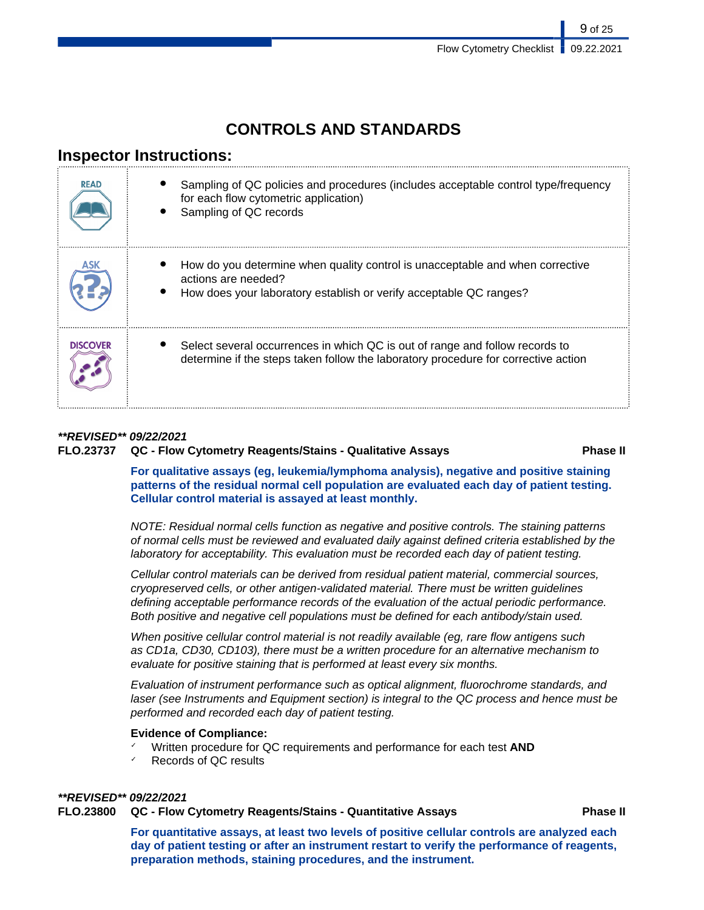## **CONTROLS AND STANDARDS**

## **Inspector Instructions:**

| <b>READ</b> | Sampling of QC policies and procedures (includes acceptable control type/frequency<br>for each flow cytometric application)<br>Sampling of QC records                      |
|-------------|----------------------------------------------------------------------------------------------------------------------------------------------------------------------------|
|             | How do you determine when quality control is unacceptable and when corrective<br>actions are needed?<br>How does your laboratory establish or verify acceptable QC ranges? |
| DISCOVER    | Select several occurrences in which QC is out of range and follow records to<br>determine if the steps taken follow the laboratory procedure for corrective action         |

### **\*\*REVISED\*\* 09/22/2021**

### **FLO.23737 QC - Flow Cytometry Reagents/Stains - Qualitative Assays Phase II**

**For qualitative assays (eg, leukemia/lymphoma analysis), negative and positive staining patterns of the residual normal cell population are evaluated each day of patient testing. Cellular control material is assayed at least monthly.**

NOTE: Residual normal cells function as negative and positive controls. The staining patterns of normal cells must be reviewed and evaluated daily against defined criteria established by the laboratory for acceptability. This evaluation must be recorded each day of patient testing.

Cellular control materials can be derived from residual patient material, commercial sources, cryopreserved cells, or other antigen-validated material. There must be written guidelines defining acceptable performance records of the evaluation of the actual periodic performance. Both positive and negative cell populations must be defined for each antibody/stain used.

When positive cellular control material is not readily available (eg, rare flow antigens such as CD1a, CD30, CD103), there must be a written procedure for an alternative mechanism to evaluate for positive staining that is performed at least every six months.

Evaluation of instrument performance such as optical alignment, fluorochrome standards, and laser (see Instruments and Equipment section) is integral to the QC process and hence must be performed and recorded each day of patient testing.

#### **Evidence of Compliance:**

- Written procedure for QC requirements and performance for each test **AND**
- Records of QC results

#### **\*\*REVISED\*\* 09/22/2021**

**FLO.23800 QC - Flow Cytometry Reagents/Stains - Quantitative Assays Phase II**

**For quantitative assays, at least two levels of positive cellular controls are analyzed each day of patient testing or after an instrument restart to verify the performance of reagents, preparation methods, staining procedures, and the instrument.**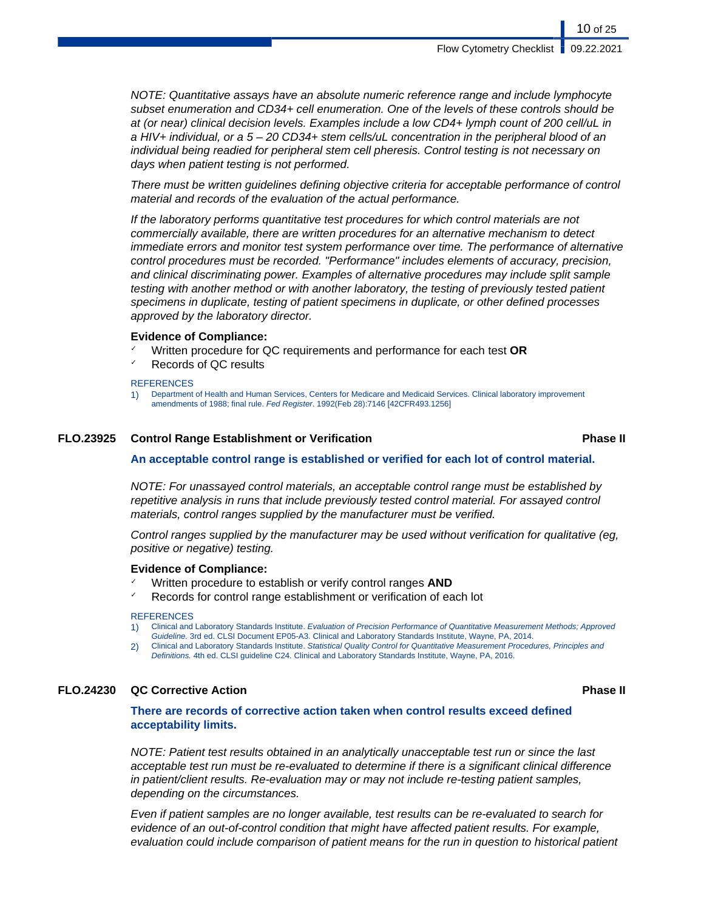NOTE: Quantitative assays have an absolute numeric reference range and include lymphocyte subset enumeration and CD34+ cell enumeration. One of the levels of these controls should be at (or near) clinical decision levels. Examples include a low CD4+ lymph count of 200 cell/uL in a HIV+ individual, or a 5 – 20 CD34+ stem cells/uL concentration in the peripheral blood of an individual being readied for peripheral stem cell pheresis. Control testing is not necessary on days when patient testing is not performed.

There must be written guidelines defining objective criteria for acceptable performance of control material and records of the evaluation of the actual performance.

If the laboratory performs quantitative test procedures for which control materials are not commercially available, there are written procedures for an alternative mechanism to detect immediate errors and monitor test system performance over time. The performance of alternative control procedures must be recorded. "Performance" includes elements of accuracy, precision, and clinical discriminating power. Examples of alternative procedures may include split sample testing with another method or with another laboratory, the testing of previously tested patient specimens in duplicate, testing of patient specimens in duplicate, or other defined processes approved by the laboratory director.

#### **Evidence of Compliance:**

- ✓ Written procedure for QC requirements and performance for each test **OR**
- Records of QC results

#### **REFERENCES**

#### **FLO.23925 Control Range Establishment or Verification Phase II**

#### **An acceptable control range is established or verified for each lot of control material.**

NOTE: For unassayed control materials, an acceptable control range must be established by repetitive analysis in runs that include previously tested control material. For assayed control materials, control ranges supplied by the manufacturer must be verified.

Control ranges supplied by the manufacturer may be used without verification for qualitative (eg, positive or negative) testing.

#### **Evidence of Compliance:**

- Written procedure to establish or verify control ranges **AND**
- Records for control range establishment or verification of each lot

#### **REFERENCES**

- 1) Clinical and Laboratory Standards Institute. Evaluation of Precision Performance of Quantitative Measurement Methods; Approved Guideline. 3rd ed. CLSI Document EP05-A3. Clinical and Laboratory Standards Institute, Wayne, PA, 2014.
- 2) Clinical and Laboratory Standards Institute. Statistical Quality Control for Quantitative Measurement Procedures, Principles and Definitions. 4th ed. CLSI guideline C24. Clinical and Laboratory Standards Institute, Wayne, PA, 2016.

### **FLO.24230 QC Corrective Action Phase II**

### **There are records of corrective action taken when control results exceed defined acceptability limits.**

NOTE: Patient test results obtained in an analytically unacceptable test run or since the last acceptable test run must be re-evaluated to determine if there is a significant clinical difference in patient/client results. Re-evaluation may or may not include re-testing patient samples, depending on the circumstances.

Even if patient samples are no longer available, test results can be re-evaluated to search for evidence of an out-of-control condition that might have affected patient results. For example, evaluation could include comparison of patient means for the run in question to historical patient

<sup>1)</sup> Department of Health and Human Services, Centers for Medicare and Medicaid Services. Clinical laboratory improvement amendments of 1988; final rule. Fed Register. 1992(Feb 28):7146 [42CFR493.1256]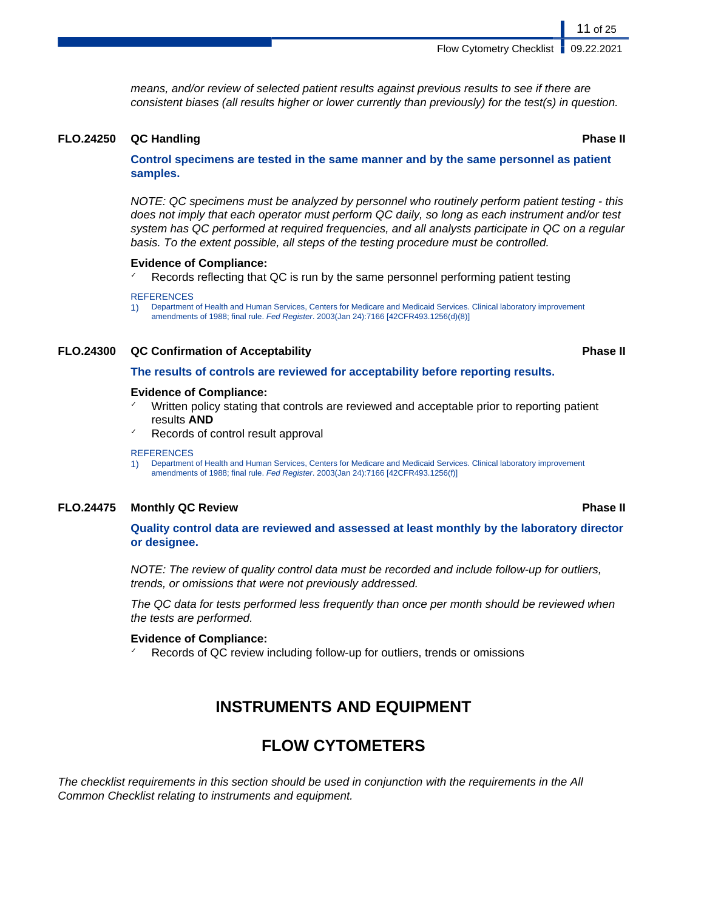means, and/or review of selected patient results against previous results to see if there are consistent biases (all results higher or lower currently than previously) for the test(s) in question.

#### **FLO.24250 QC Handling Phase II**

**Control specimens are tested in the same manner and by the same personnel as patient samples.**

NOTE: QC specimens must be analyzed by personnel who routinely perform patient testing - this does not imply that each operator must perform QC daily, so long as each instrument and/or test system has QC performed at required frequencies, and all analysts participate in QC on a regular basis. To the extent possible, all steps of the testing procedure must be controlled.

#### **Evidence of Compliance:**

Records reflecting that QC is run by the same personnel performing patient testing

#### **REFERENCES**

1) Department of Health and Human Services, Centers for Medicare and Medicaid Services. Clinical laboratory improvement amendments of 1988; final rule. Fed Register. 2003(Jan 24):7166 [42CFR493.1256(d)(8)]

#### **FLO.24300 QC Confirmation of Acceptability Phase II**

#### **The results of controls are reviewed for acceptability before reporting results.**

#### **Evidence of Compliance:**

- Written policy stating that controls are reviewed and acceptable prior to reporting patient results **AND**
- Records of control result approval

#### **REFERENCES**

1) Department of Health and Human Services, Centers for Medicare and Medicaid Services. Clinical laboratory improvement amendments of 1988; final rule. Fed Register. 2003(Jan 24):7166 [42CFR493.1256(f)]

#### **FLO.24475 Monthly QC Review Phase II**

**Quality control data are reviewed and assessed at least monthly by the laboratory director or designee.**

NOTE: The review of quality control data must be recorded and include follow-up for outliers, trends, or omissions that were not previously addressed.

The QC data for tests performed less frequently than once per month should be reviewed when the tests are performed.

#### **Evidence of Compliance:**

Records of QC review including follow-up for outliers, trends or omissions

## **INSTRUMENTS AND EQUIPMENT**

## **FLOW CYTOMETERS**

The checklist requirements in this section should be used in conjunction with the requirements in the All Common Checklist relating to instruments and equipment.

11 of 25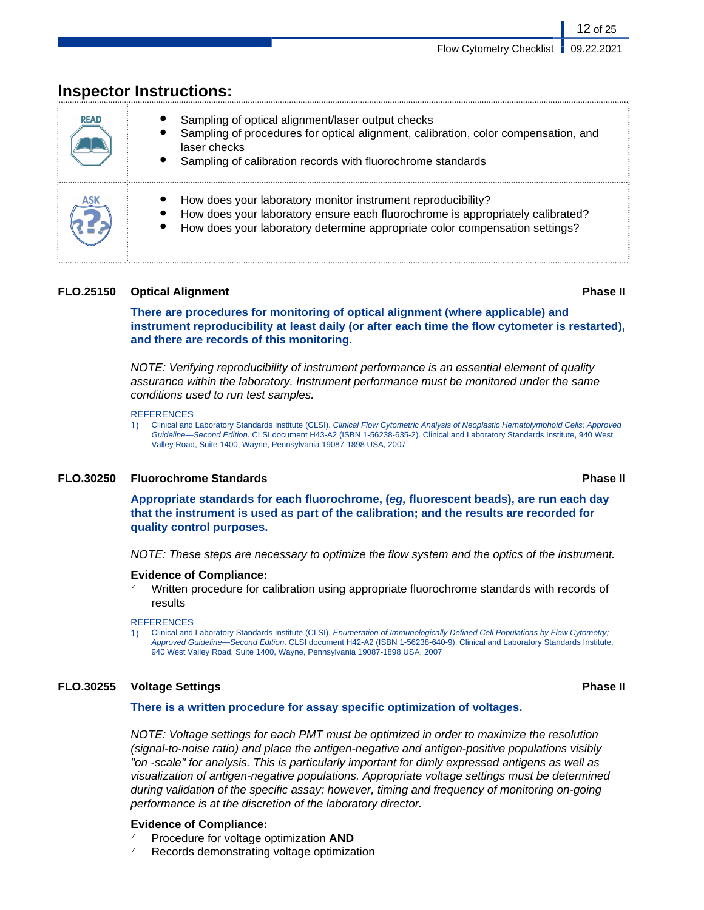| <b>READ</b> | Sampling of optical alignment/laser output checks<br>Sampling of procedures for optical alignment, calibration, color compensation, and<br>laser checks<br>Sampling of calibration records with fluorochrome standards        |
|-------------|-------------------------------------------------------------------------------------------------------------------------------------------------------------------------------------------------------------------------------|
|             | How does your laboratory monitor instrument reproducibility?<br>How does your laboratory ensure each fluorochrome is appropriately calibrated?<br>How does your laboratory determine appropriate color compensation settings? |

## **lnspector Instructions:**

### **FLO.25150 Optical Alignment Phase II**

12 of 25

**There are procedures for monitoring of optical alignment (where applicable) and instrument reproducibility at least daily (or after each time the flow cytometer is restarted), and there are records of this monitoring.**

NOTE: Verifying reproducibility of instrument performance is an essential element of quality assurance within the laboratory. Instrument performance must be monitored under the same conditions used to run test samples.

#### **REFERENCES**

1) Clinical and Laboratory Standards Institute (CLSI). Clinical Flow Cytometric Analysis of Neoplastic Hematolymphoid Cells; Approved Guideline—Second Edition. CLSI document H43-A2 (ISBN 1-56238-635-2). Clinical and Laboratory Standards Institute, 940 West Valley Road, Suite 1400, Wayne, Pennsylvania 19087-1898 USA, 2007

#### **FLO.30250 Fluorochrome Standards Phase II**

**Appropriate standards for each fluorochrome, (eg, fluorescent beads), are run each day that the instrument is used as part of the calibration; and the results are recorded for quality control purposes.**

NOTE: These steps are necessary to optimize the flow system and the optics of the instrument.

#### **Evidence of Compliance:**

✓ Written procedure for calibration using appropriate fluorochrome standards with records of results

#### **REFERENCES**

Clinical and Laboratory Standards Institute (CLSI). Enumeration of Immunologically Defined Cell Populations by Flow Cytometry; Approved Guideline—Second Edition. CLSI document H42-A2 (ISBN 1-56238-640-9). Clinical and Laboratory Standards Institute, 940 West Valley Road, Suite 1400, Wayne, Pennsylvania 19087-1898 USA, 2007

### **FLO.30255 Voltage Settings Phase II**

#### **There is a written procedure for assay specific optimization of voltages.**

NOTE: Voltage settings for each PMT must be optimized in order to maximize the resolution (signal-to-noise ratio) and place the antigen-negative and antigen-positive populations visibly "on -scale" for analysis. This is particularly important for dimly expressed antigens as well as visualization of antigen-negative populations. Appropriate voltage settings must be determined during validation of the specific assay; however, timing and frequency of monitoring on-going performance is at the discretion of the laboratory director.

### **Evidence of Compliance:**

- ✓ Procedure for voltage optimization **AND**
- Records demonstrating voltage optimization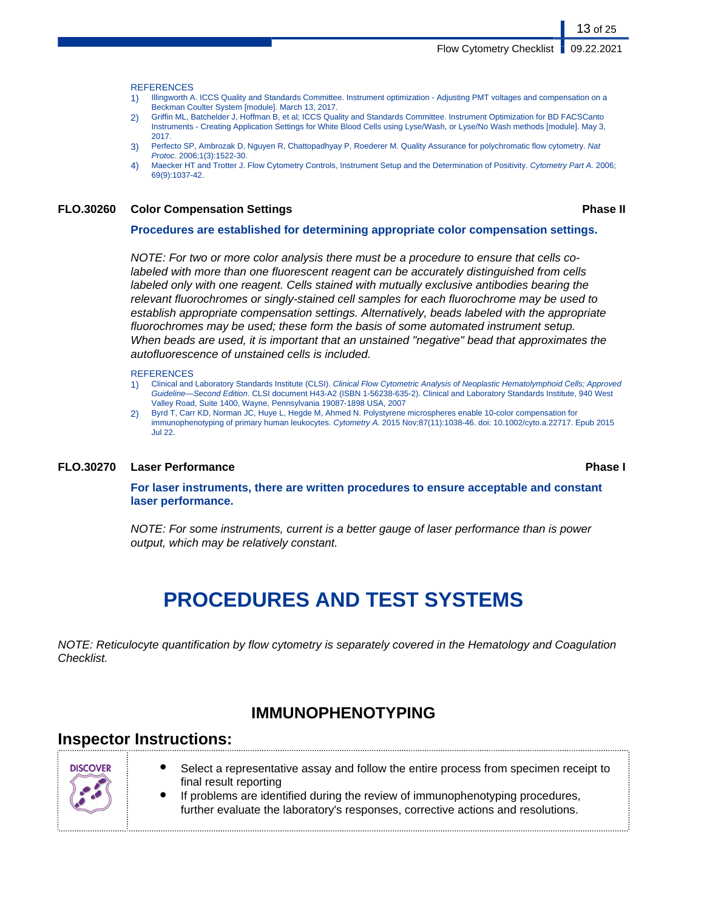13 of 25

**REFERENCES** 

- 1) Illingworth A. ICCS Quality and Standards Committee. Instrument optimization Adjusting PMT voltages and compensation on a Beckman Coulter System [module]. March 13, 2017.
- 2) Griffin ML, Batchelder J, Hoffman B, et al; ICCS Quality and Standards Committee. Instrument Optimization for BD FACSCanto Instruments - Creating Application Settings for White Blood Cells using Lyse/Wash, or Lyse/No Wash methods [module]. May 3, 2017.
- 3) Perfecto SP, Ambrozak D, Nguyen R, Chattopadhyay P, Roederer M. Quality Assurance for polychromatic flow cytometry. Nat Protoc. 2006;1(3):1522-30.
- 4) Maecker HT and Trotter J. Flow Cytometry Controls, Instrument Setup and the Determination of Positivity. Cytometry Part A. 2006; 69(9):1037-42.

#### **FLO.30260 Color Compensation Settings Phase II**

#### **Procedures are established for determining appropriate color compensation settings.**

NOTE: For two or more color analysis there must be a procedure to ensure that cells colabeled with more than one fluorescent reagent can be accurately distinguished from cells labeled only with one reagent. Cells stained with mutually exclusive antibodies bearing the relevant fluorochromes or singly-stained cell samples for each fluorochrome may be used to establish appropriate compensation settings. Alternatively, beads labeled with the appropriate fluorochromes may be used; these form the basis of some automated instrument setup. When beads are used, it is important that an unstained "negative" bead that approximates the autofluorescence of unstained cells is included.

#### **REFERENCES**

- 1) Clinical and Laboratory Standards Institute (CLSI). Clinical Flow Cytometric Analysis of Neoplastic Hematolymphoid Cells; Approved Guideline—Second Edition. CLSI document H43-A2 (ISBN 1-56238-635-2). Clinical and Laboratory Standards Institute, 940 West Valley Road, Suite 1400, Wayne, Pennsylvania 19087-1898 USA, 2007
- 2) Byrd T, Carr KD, Norman JC, Huye L, Hegde M, Ahmed N. Polystyrene microspheres enable 10-color compensation for immunophenotyping of primary human leukocytes. Cytometry A. 2015 Nov;87(11):1038-46. doi: 10.1002/cyto.a.22717. Epub 2015 Jul 22.

#### **FLO.30270 Laser Performance Phase I**

**For laser instruments, there are written procedures to ensure acceptable and constant laser performance.**

NOTE: For some instruments, current is a better gauge of laser performance than is power output, which may be relatively constant.

# **PROCEDURES AND TEST SYSTEMS**

NOTE: Reticulocyte quantification by flow cytometry is separately covered in the Hematology and Coagulation Checklist.

## **IMMUNOPHENOTYPING**

### **Inspector Instructions:**



- Select a representative assay and follow the entire process from specimen receipt to final result reporting
- If problems are identified during the review of immunophenotyping procedures, further evaluate the laboratory's responses, corrective actions and resolutions.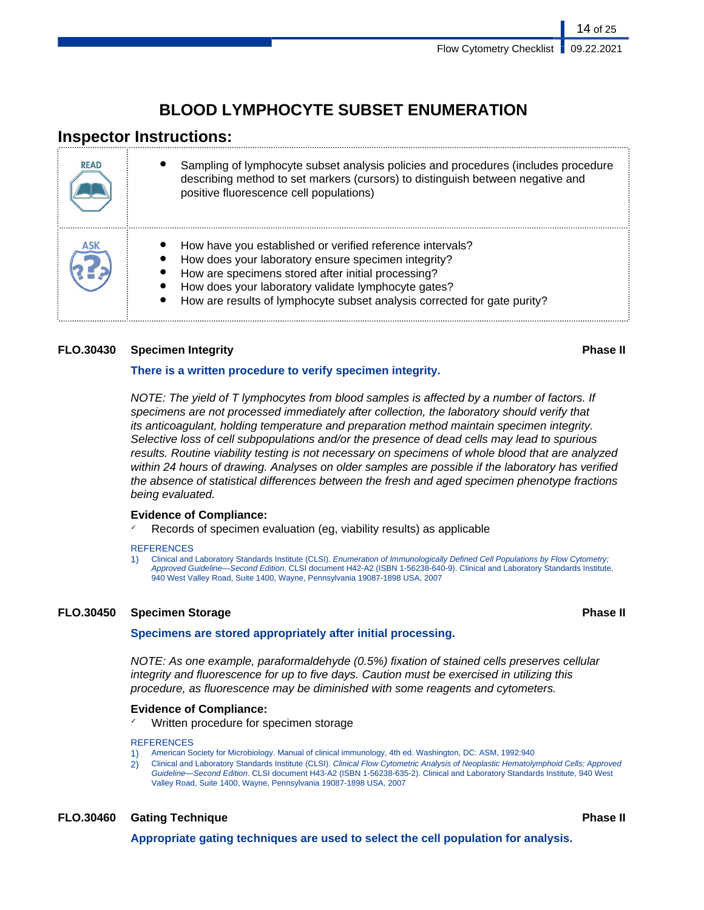## **BLOOD LYMPHOCYTE SUBSET ENUMERATION**

## **Inspector Instructions:**

| <b>READ</b> | Sampling of lymphocyte subset analysis policies and procedures (includes procedure<br>describing method to set markers (cursors) to distinguish between negative and<br>positive fluorescence cell populations)                                                                                           |
|-------------|-----------------------------------------------------------------------------------------------------------------------------------------------------------------------------------------------------------------------------------------------------------------------------------------------------------|
|             | How have you established or verified reference intervals?<br>How does your laboratory ensure specimen integrity?<br>How are specimens stored after initial processing?<br>How does your laboratory validate lymphocyte gates?<br>How are results of lymphocyte subset analysis corrected for gate purity? |

### **FLO.30430 Specimen Integrity Phase II**

### **There is a written procedure to verify specimen integrity.**

NOTE: The yield of T lymphocytes from blood samples is affected by a number of factors. If specimens are not processed immediately after collection, the laboratory should verify that its anticoagulant, holding temperature and preparation method maintain specimen integrity. Selective loss of cell subpopulations and/or the presence of dead cells may lead to spurious results. Routine viability testing is not necessary on specimens of whole blood that are analyzed within 24 hours of drawing. Analyses on older samples are possible if the laboratory has verified the absence of statistical differences between the fresh and aged specimen phenotype fractions being evaluated.

### **Evidence of Compliance:**

Records of specimen evaluation (eg, viability results) as applicable

**REFERENCES** 

1) Clinical and Laboratory Standards Institute (CLSI). Enumeration of Immunologically Defined Cell Populations by Flow Cytometry: Approved Guideline—Second Edition. CLSI document H42-A2 (ISBN 1-56238-640-9). Clinical and Laboratory Standards Institute, 940 West Valley Road, Suite 1400, Wayne, Pennsylvania 19087-1898 USA, 2007

### **FLO.30450 Specimen Storage Phase II**

#### **Specimens are stored appropriately after initial processing.**

NOTE: As one example, paraformaldehyde (0.5%) fixation of stained cells preserves cellular integrity and fluorescence for up to five days. Caution must be exercised in utilizing this procedure, as fluorescence may be diminished with some reagents and cytometers.

### **Evidence of Compliance:**

Written procedure for specimen storage

#### **REFERENCES**

- 1) American Society for Microbiology. Manual of clinical immunology, 4th ed. Washington, DC: ASM, 1992:940
- 2) Clinical and Laboratory Standards Institute (CLSI). Clinical Flow Cytometric Analysis of Neoplastic Hematolymphoid Cells; Approved Guideline—Second Edition. CLSI document H43-A2 (ISBN 1-56238-635-2). Clinical and Laboratory Standards Institute, 940 West Valley Road, Suite 1400, Wayne, Pennsylvania 19087-1898 USA, 2007

### **FLO.30460 Gating Technique Phase II**

**Appropriate gating techniques are used to select the cell population for analysis.**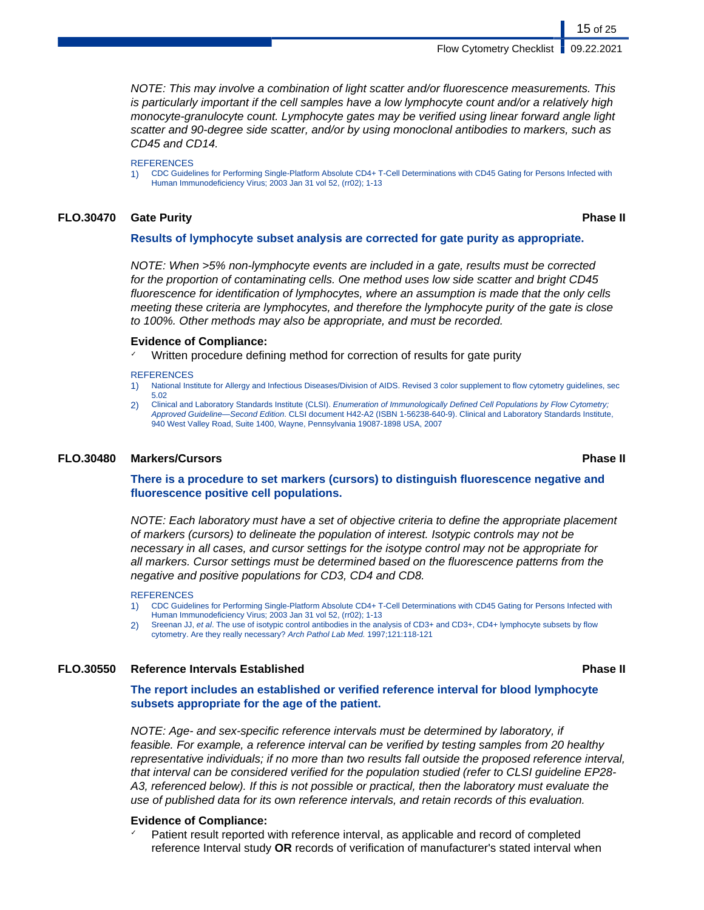NOTE: This may involve a combination of light scatter and/or fluorescence measurements. This is particularly important if the cell samples have a low lymphocyte count and/or a relatively high monocyte-granulocyte count. Lymphocyte gates may be verified using linear forward angle light scatter and 90-degree side scatter, and/or by using monoclonal antibodies to markers, such as CD45 and CD14.

**REFERENCES** 

1) CDC Guidelines for Performing Single-Platform Absolute CD4+ T-Cell Determinations with CD45 Gating for Persons Infected with Human Immunodeficiency Virus; 2003 Jan 31 vol 52, (rr02); 1-13

#### **FLO.30470 Gate Purity Phase II**

#### **Results of lymphocyte subset analysis are corrected for gate purity as appropriate.**

NOTE: When >5% non-lymphocyte events are included in a gate, results must be corrected for the proportion of contaminating cells. One method uses low side scatter and bright CD45 fluorescence for identification of lymphocytes, where an assumption is made that the only cells meeting these criteria are lymphocytes, and therefore the lymphocyte purity of the gate is close to 100%. Other methods may also be appropriate, and must be recorded.

## **Evidence of Compliance:**

Written procedure defining method for correction of results for gate purity

#### **REFERENCES**

- 1) National Institute for Allergy and Infectious Diseases/Division of AIDS. Revised 3 color supplement to flow cytometry guidelines, sec 5.02
- 2) Clinical and Laboratory Standards Institute (CLSI). Enumeration of Immunologically Defined Cell Populations by Flow Cytometry; Approved Guideline—Second Edition. CLSI document H42-A2 (ISBN 1-56238-640-9). Clinical and Laboratory Standards Institute, 940 West Valley Road, Suite 1400, Wayne, Pennsylvania 19087-1898 USA, 2007

#### **FLO.30480 Markers/Cursors Phase II**

#### **There is a procedure to set markers (cursors) to distinguish fluorescence negative and fluorescence positive cell populations.**

NOTE: Each laboratory must have a set of objective criteria to define the appropriate placement of markers (cursors) to delineate the population of interest. Isotypic controls may not be necessary in all cases, and cursor settings for the isotype control may not be appropriate for all markers. Cursor settings must be determined based on the fluorescence patterns from the negative and positive populations for CD3, CD4 and CD8.

#### **REFERENCES**

- 1) CDC Guidelines for Performing Single-Platform Absolute CD4+ T-Cell Determinations with CD45 Gating for Persons Infected with Human Immunodeficiency Virus; 2003 Jan 31 vol 52, (rr02); 1-13
- 2) Sreenan JJ, et al. The use of isotypic control antibodies in the analysis of CD3+ and CD3+, CD4+ lymphocyte subsets by flow cytometry. Are they really necessary? Arch Pathol Lab Med. 1997;121:118-121

#### **FLO.30550 Reference Intervals Established Phase II**

**The report includes an established or verified reference interval for blood lymphocyte subsets appropriate for the age of the patient.**

NOTE: Age- and sex-specific reference intervals must be determined by laboratory, if feasible. For example, a reference interval can be verified by testing samples from 20 healthy representative individuals; if no more than two results fall outside the proposed reference interval, that interval can be considered verified for the population studied (refer to CLSI guideline EP28- A3, referenced below). If this is not possible or practical, then the laboratory must evaluate the use of published data for its own reference intervals, and retain records of this evaluation.

#### **Evidence of Compliance:**

Patient result reported with reference interval, as applicable and record of completed reference Interval study **OR** records of verification of manufacturer's stated interval when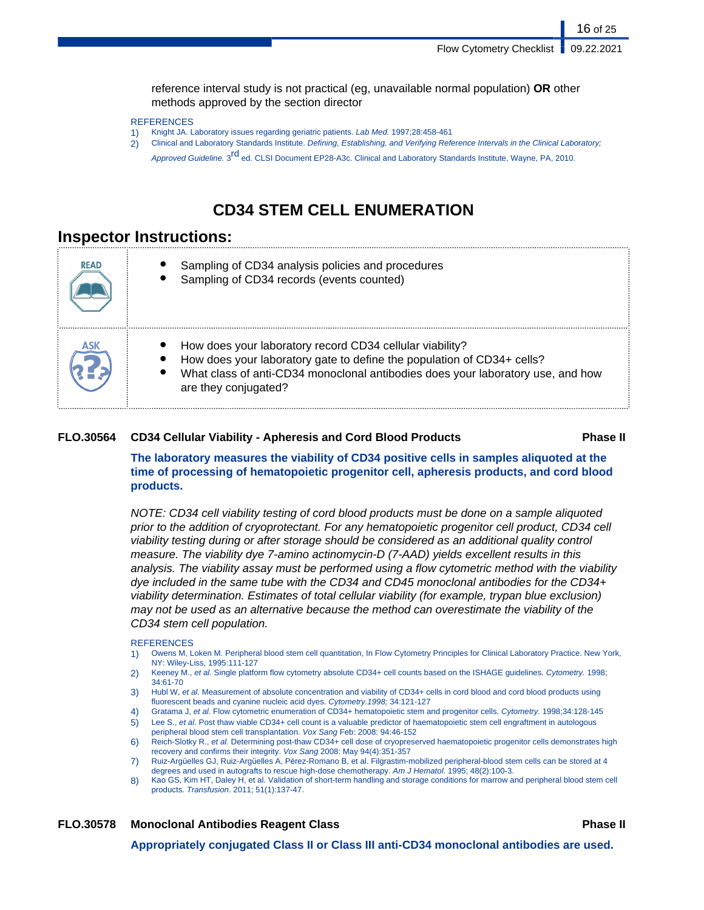reference interval study is not practical (eg, unavailable normal population) **OR** other methods approved by the section director

#### **REFERENCES**

- 1) Knight JA. Laboratory issues regarding geriatric patients. Lab Med. 1997;28:458-461
- 2) Clinical and Laboratory Standards Institute. Defining, Establishing, and Verifying Reference Intervals in the Clinical Laboratory; Approved Guideline. 3<sup>rd</sup> ed. CLSI Document EP28-A3c. Clinical and Laboratory Standards Institute, Wayne, PA, 2010.

## **CD34 STEM CELL ENUMERATION**

### **Inspector Instructions:**

| <b>READ</b> | Sampling of CD34 analysis policies and procedures<br>Sampling of CD34 records (events counted)                                                                                                                                                |
|-------------|-----------------------------------------------------------------------------------------------------------------------------------------------------------------------------------------------------------------------------------------------|
| ASK         | How does your laboratory record CD34 cellular viability?<br>How does your laboratory gate to define the population of CD34+ cells?<br>What class of anti-CD34 monoclonal antibodies does your laboratory use, and how<br>are they conjugated? |

#### **FLO.30564 CD34 Cellular Viability - Apheresis and Cord Blood Products Phase II**

**The laboratory measures the viability of CD34 positive cells in samples aliquoted at the time of processing of hematopoietic progenitor cell, apheresis products, and cord blood products.**

NOTE: CD34 cell viability testing of cord blood products must be done on a sample aliquoted prior to the addition of cryoprotectant. For any hematopoietic progenitor cell product, CD34 cell viability testing during or after storage should be considered as an additional quality control measure. The viability dye 7-amino actinomycin-D (7-AAD) yields excellent results in this analysis. The viability assay must be performed using a flow cytometric method with the viability dye included in the same tube with the CD34 and CD45 monoclonal antibodies for the CD34+ viability determination. Estimates of total cellular viability (for example, trypan blue exclusion) may not be used as an alternative because the method can overestimate the viability of the CD34 stem cell population.

#### **REFERENCES**

- 1) Owens M, Loken M. Peripheral blood stem cell quantitation, In Flow Cytometry Principles for Clinical Laboratory Practice. New York, NY: Wiley-Liss, 1995:111-127
- 2) Keeney M., et al. Single platform flow cytometry absolute CD34+ cell counts based on the ISHAGE guidelines. Cytometry. 1998; 34:61-70
- 3) Hubl W, et al. Measurement of absolute concentration and viability of CD34+ cells in cord blood and cord blood products using fluorescent beads and cyanine nucleic acid dyes. Cytometry.1998; 34:121-127
- 4) Gratama J, et al. Flow cytometric enumeration of CD34+ hematopoietic stem and progenitor cells. Cytometry. 1998;34:128-145
- 5) Lee S., et al. Post thaw viable CD34+ cell count is a valuable predictor of haematopoietic stem cell engraftment in autologous peripheral blood stem cell transplantation. Vox Sang Feb: 2008: 94:46-152
- 6) Reich-Slotky R., et al. Determining post-thaw CD34+ cell dose of cryopreserved haematopoietic progenitor cells demonstrates high recovery and confirms their integrity. Vox Sang 2008: May 94(4):351-357
- 7) Ruiz-Argüelles GJ, Ruiz-Argüelles A, Pérez-Romano B, et al. Filgrastim-mobilized peripheral-blood stem cells can be stored at 4 degrees and used in autografts to rescue high-dose chemotherapy. Am J Hematol. 1995; 48(2):100-3.
- 8) Kao GS, Kim HT, Daley H, et al. Validation of short-term handling and storage conditions for marrow and peripheral blood stem cell products. Transfusion. 2011; 51(1):137-47.

**FLO.30578 Monoclonal Antibodies Reagent Class Phase II**

**Appropriately conjugated Class II or Class III anti-CD34 monoclonal antibodies are used.**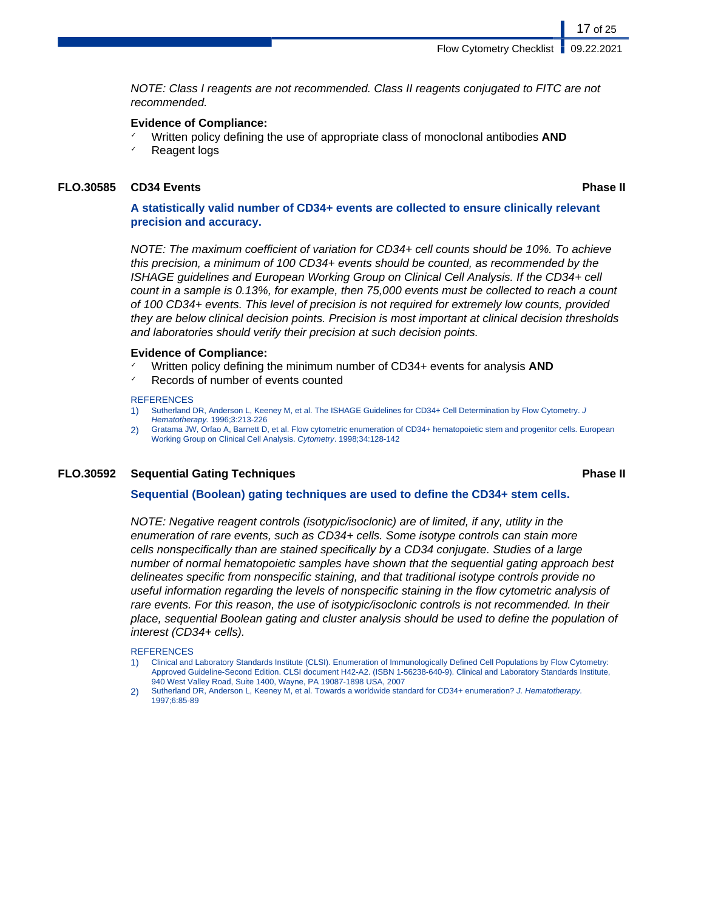NOTE: Class I reagents are not recommended. Class II reagents conjugated to FITC are not recommended.

#### **Evidence of Compliance:**

✓ Written policy defining the use of appropriate class of monoclonal antibodies **AND** Reagent logs

#### **FLO.30585 CD34 Events Phase II**

17 of 25

### **A statistically valid number of CD34+ events are collected to ensure clinically relevant precision and accuracy.**

NOTE: The maximum coefficient of variation for CD34+ cell counts should be 10%. To achieve this precision, a minimum of 100 CD34+ events should be counted, as recommended by the ISHAGE guidelines and European Working Group on Clinical Cell Analysis. If the CD34+ cell count in a sample is 0.13%, for example, then 75,000 events must be collected to reach a count of 100 CD34+ events. This level of precision is not required for extremely low counts, provided they are below clinical decision points. Precision is most important at clinical decision thresholds and laboratories should verify their precision at such decision points.

#### **Evidence of Compliance:**

- Written policy defining the minimum number of CD34+ events for analysis **AND**
- Records of number of events counted

#### **REFERENCES**

- 1) Sutherland DR, Anderson L, Keeney M, et al. The ISHAGE Guidelines for CD34+ Cell Determination by Flow Cytometry. J Hematotherapy. 1996;3:213-226
- 2) Gratama JW, Orfao A, Barnett D, et al. Flow cytometric enumeration of CD34+ hematopoietic stem and progenitor cells. European Working Group on Clinical Cell Analysis. Cytometry. 1998;34:128-142

### **FLO.30592 Sequential Gating Techniques Phase II**

#### **Sequential (Boolean) gating techniques are used to define the CD34+ stem cells.**

NOTE: Negative reagent controls (isotypic/isoclonic) are of limited, if any, utility in the enumeration of rare events, such as CD34+ cells. Some isotype controls can stain more cells nonspecifically than are stained specifically by a CD34 conjugate. Studies of a large number of normal hematopoietic samples have shown that the sequential gating approach best delineates specific from nonspecific staining, and that traditional isotype controls provide no useful information regarding the levels of nonspecific staining in the flow cytometric analysis of rare events. For this reason, the use of isotypic/isoclonic controls is not recommended. In their place, sequential Boolean gating and cluster analysis should be used to define the population of interest (CD34+ cells).

#### **REFERENCES**

- 1) Clinical and Laboratory Standards Institute (CLSI). Enumeration of Immunologically Defined Cell Populations by Flow Cytometry: Approved Guideline-Second Edition. CLSI document H42-A2. (ISBN 1-56238-640-9). Clinical and Laboratory Standards Institute, 940 West Valley Road, Suite 1400, Wayne, PA 19087-1898 USA, 2007
- 2) Sutherland DR, Anderson L, Keeney M, et al. Towards a worldwide standard for CD34+ enumeration? J. Hematotherapy. 1997;6:85-89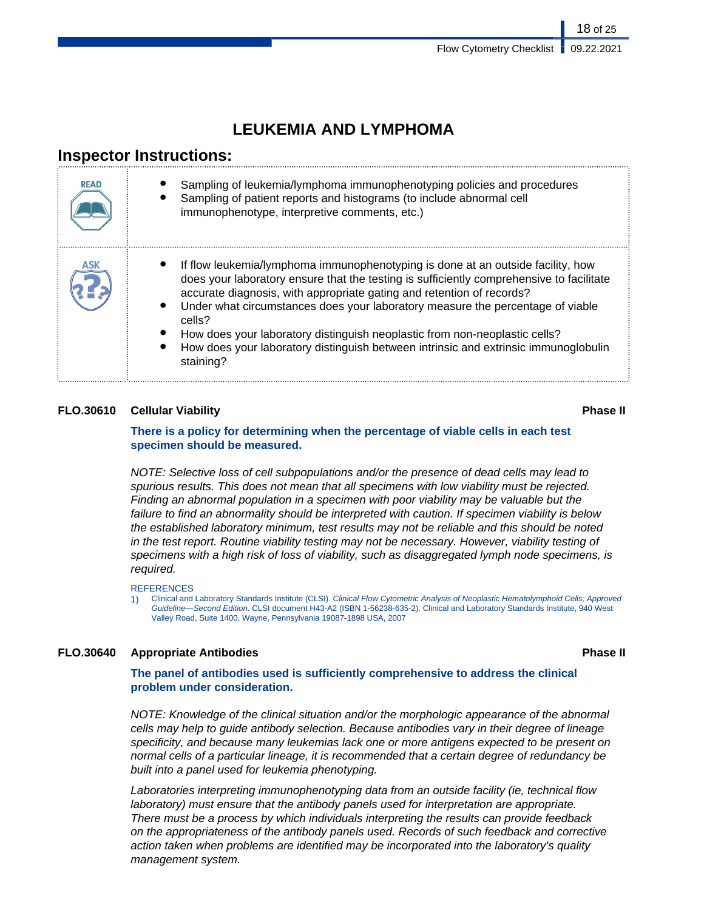## **LEUKEMIA AND LYMPHOMA**

## **Inspector Instructions:**

| <b>READ</b> | Sampling of leukemia/lymphoma immunophenotyping policies and procedures<br>Sampling of patient reports and histograms (to include abnormal cell<br>immunophenotype, interpretive comments, etc.)                                                                                                                                                                                                                                                                                                                                   |
|-------------|------------------------------------------------------------------------------------------------------------------------------------------------------------------------------------------------------------------------------------------------------------------------------------------------------------------------------------------------------------------------------------------------------------------------------------------------------------------------------------------------------------------------------------|
|             | If flow leukemia/lymphoma immunophenotyping is done at an outside facility, how<br>does your laboratory ensure that the testing is sufficiently comprehensive to facilitate<br>accurate diagnosis, with appropriate gating and retention of records?<br>Under what circumstances does your laboratory measure the percentage of viable<br>cells?<br>How does your laboratory distinguish neoplastic from non-neoplastic cells?<br>How does your laboratory distinguish between intrinsic and extrinsic immunoglobulin<br>staining? |

### **FLO.30610 Cellular Viability Phase II**

### **There is a policy for determining when the percentage of viable cells in each test specimen should be measured.**

NOTE: Selective loss of cell subpopulations and/or the presence of dead cells may lead to spurious results. This does not mean that all specimens with low viability must be rejected. Finding an abnormal population in a specimen with poor viability may be valuable but the failure to find an abnormality should be interpreted with caution. If specimen viability is below the established laboratory minimum, test results may not be reliable and this should be noted in the test report. Routine viability testing may not be necessary. However, viability testing of specimens with a high risk of loss of viability, such as disaggregated lymph node specimens, is required.

#### **REFERENCES**

1) Clinical and Laboratory Standards Institute (CLSI). Clinical Flow Cytometric Analysis of Neoplastic Hematolymphoid Cells: Approved Guideline—Second Edition. CLSI document H43-A2 (ISBN 1-56238-635-2). Clinical and Laboratory Standards Institute, 940 West Valley Road, Suite 1400, Wayne, Pennsylvania 19087-1898 USA, 2007

### **FLO.30640 Appropriate Antibodies Phase II**

### **The panel of antibodies used is sufficiently comprehensive to address the clinical problem under consideration.**

NOTE: Knowledge of the clinical situation and/or the morphologic appearance of the abnormal cells may help to guide antibody selection. Because antibodies vary in their degree of lineage specificity, and because many leukemias lack one or more antigens expected to be present on normal cells of a particular lineage, it is recommended that a certain degree of redundancy be built into a panel used for leukemia phenotyping.

Laboratories interpreting immunophenotyping data from an outside facility (ie, technical flow laboratory) must ensure that the antibody panels used for interpretation are appropriate. There must be a process by which individuals interpreting the results can provide feedback on the appropriateness of the antibody panels used. Records of such feedback and corrective action taken when problems are identified may be incorporated into the laboratory's quality management system.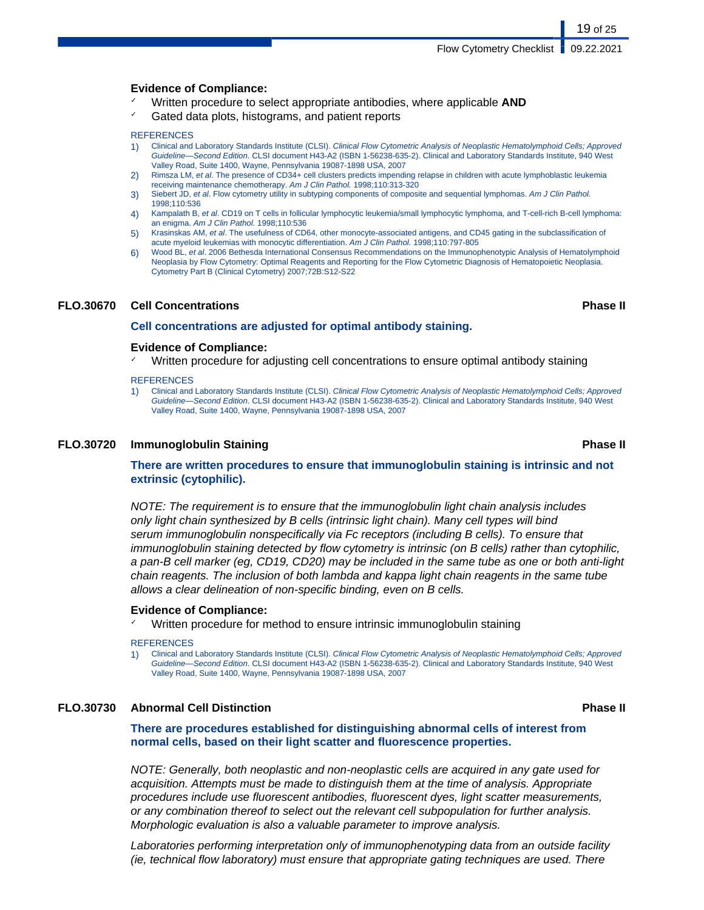#### **Evidence of Compliance:**

- ✓ Written procedure to select appropriate antibodies, where applicable **AND**
- Gated data plots, histograms, and patient reports

#### **REFERENCES**

- 1) Clinical and Laboratory Standards Institute (CLSI). Clinical Flow Cytometric Analysis of Neoplastic Hematolymphoid Cells; Approved Guideline—Second Edition. CLSI document H43-A2 (ISBN 1-56238-635-2). Clinical and Laboratory Standards Institute, 940 West Valley Road, Suite 1400, Wayne, Pennsylvania 19087-1898 USA, 2007
- 2) Rimsza LM, et al. The presence of CD34+ cell clusters predicts impending relapse in children with acute lymphoblastic leukemia receiving maintenance chemotherapy. Am J Clin Pathol. 1998;110:313-320
- 3) Siebert JD, et al. Flow cytometry utility in subtyping components of composite and sequential lymphomas. Am J Clin Pathol. 1998;110:536
- 4) Kampalath B, et al. CD19 on T cells in follicular lymphocytic leukemia/small lymphocytic lymphoma, and T-cell-rich B-cell lymphoma: an enigma. Am J Clin Pathol. 1998;110:536
- 5) Krasinskas AM, et al. The usefulness of CD64, other monocyte-associated antigens, and CD45 gating in the subclassification of acute myeloid leukemias with monocytic differentiation. Am J Clin Pathol. 1998;110:797-805
- 6) Wood BL, et al. 2006 Bethesda International Consensus Recommendations on the Immunophenotypic Analysis of Hematolymphoid Neoplasia by Flow Cytometry: Optimal Reagents and Reporting for the Flow Cytometric Diagnosis of Hematopoietic Neoplasia. Cytometry Part B (Clinical Cytometry) 2007;72B:S12-S22

#### **FLO.30670 Cell Concentrations Phase II**

#### **Cell concentrations are adjusted for optimal antibody staining.**

#### **Evidence of Compliance:**

Written procedure for adjusting cell concentrations to ensure optimal antibody staining

#### **REFERENCES**

1) Clinical and Laboratory Standards Institute (CLSI). Clinical Flow Cytometric Analysis of Neoplastic Hematolymphoid Cells; Approved Guideline-Second Edition. CLSI document H43-A2 (ISBN 1-56238-635-2). Clinical and Laboratory Standards Institute, 940 West Valley Road, Suite 1400, Wayne, Pennsylvania 19087-1898 USA, 2007

#### **FLO.30720 Immunoglobulin Staining Phase II**

#### **There are written procedures to ensure that immunoglobulin staining is intrinsic and not extrinsic (cytophilic).**

NOTE: The requirement is to ensure that the immunoglobulin light chain analysis includes only light chain synthesized by B cells (intrinsic light chain). Many cell types will bind serum immunoglobulin nonspecifically via Fc receptors (including B cells). To ensure that immunoglobulin staining detected by flow cytometry is intrinsic (on B cells) rather than cytophilic, a pan-B cell marker (eg, CD19, CD20) may be included in the same tube as one or both anti-light chain reagents. The inclusion of both lambda and kappa light chain reagents in the same tube allows a clear delineation of non-specific binding, even on B cells.

#### **Evidence of Compliance:**

Written procedure for method to ensure intrinsic immunoglobulin staining

#### **REFERENCES**

1) Clinical and Laboratory Standards Institute (CLSI). Clinical Flow Cytometric Analysis of Neoplastic Hematolymphoid Cells; Approved Guideline—Second Edition. CLSI document H43-A2 (ISBN 1-56238-635-2). Clinical and Laboratory Standards Institute, 940 West Valley Road, Suite 1400, Wayne, Pennsylvania 19087-1898 USA, 2007

### **FLO.30730 Abnormal Cell Distinction Phase II**

**There are procedures established for distinguishing abnormal cells of interest from normal cells, based on their light scatter and fluorescence properties.**

NOTE: Generally, both neoplastic and non-neoplastic cells are acquired in any gate used for acquisition. Attempts must be made to distinguish them at the time of analysis. Appropriate procedures include use fluorescent antibodies, fluorescent dyes, light scatter measurements, or any combination thereof to select out the relevant cell subpopulation for further analysis. Morphologic evaluation is also a valuable parameter to improve analysis.

Laboratories performing interpretation only of immunophenotyping data from an outside facility (ie, technical flow laboratory) must ensure that appropriate gating techniques are used. There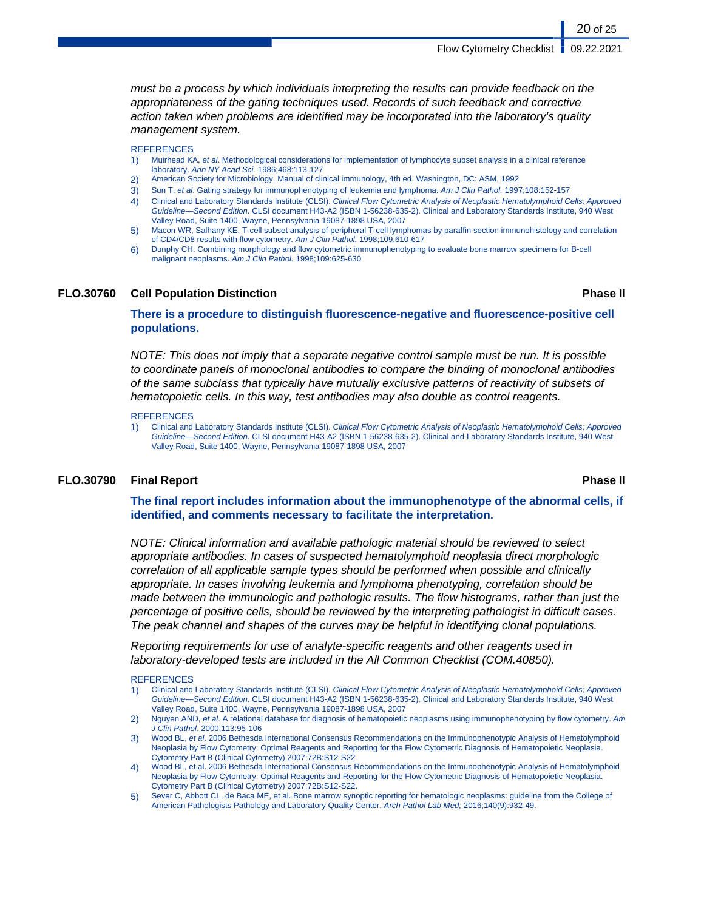must be a process by which individuals interpreting the results can provide feedback on the appropriateness of the gating techniques used. Records of such feedback and corrective action taken when problems are identified may be incorporated into the laboratory's quality management system.

#### **REFERENCES**

- 1) Muirhead KA, et al. Methodological considerations for implementation of lymphocyte subset analysis in a clinical reference laboratory. Ann NY Acad Sci. 1986;468:113-127
- 2) American Society for Microbiology. Manual of clinical immunology, 4th ed. Washington, DC: ASM, 1992
- 3) Sun T, et al. Gating strategy for immunophenotyping of leukemia and lymphoma. Am J Clin Pathol. 1997;108:152-157
- 4) Clinical and Laboratory Standards Institute (CLSI). Clinical Flow Cytometric Analysis of Neoplastic Hematolymphoid Cells; Approved Guideline—Second Edition. CLSI document H43-A2 (ISBN 1-56238-635-2). Clinical and Laboratory Standards Institute, 940 West Valley Road, Suite 1400, Wayne, Pennsylvania 19087-1898 USA, 2007
- 5) Macon WR, Salhany KE. T-cell subset analysis of peripheral T-cell lymphomas by paraffin section immunohistology and correlation of CD4/CD8 results with flow cytometry. Am J Clin Pathol. 1998;109:610-617
- 6) Dunphy CH. Combining morphology and flow cytometric immunophenotyping to evaluate bone marrow specimens for B-cell malignant neoplasms. Am J Clin Pathol. 1998;109:625-630

#### **FLO.30760 Cell Population Distinction Phase II**

20 of 25

**There is a procedure to distinguish fluorescence-negative and fluorescence-positive cell populations.**

NOTE: This does not imply that a separate negative control sample must be run. It is possible to coordinate panels of monoclonal antibodies to compare the binding of monoclonal antibodies of the same subclass that typically have mutually exclusive patterns of reactivity of subsets of hematopoietic cells. In this way, test antibodies may also double as control reagents.

#### **REFERENCES**

1) Clinical and Laboratory Standards Institute (CLSI). Clinical Flow Cytometric Analysis of Neoplastic Hematolymphoid Cells; Approved Guideline—Second Edition. CLSI document H43-A2 (ISBN 1-56238-635-2). Clinical and Laboratory Standards Institute, 940 West Valley Road, Suite 1400, Wayne, Pennsylvania 19087-1898 USA, 2007

#### **FLO.30790 Final Report Phase II**

**The final report includes information about the immunophenotype of the abnormal cells, if identified, and comments necessary to facilitate the interpretation.**

NOTE: Clinical information and available pathologic material should be reviewed to select appropriate antibodies. In cases of suspected hematolymphoid neoplasia direct morphologic correlation of all applicable sample types should be performed when possible and clinically appropriate. In cases involving leukemia and lymphoma phenotyping, correlation should be made between the immunologic and pathologic results. The flow histograms, rather than just the percentage of positive cells, should be reviewed by the interpreting pathologist in difficult cases. The peak channel and shapes of the curves may be helpful in identifying clonal populations.

Reporting requirements for use of analyte-specific reagents and other reagents used in laboratory-developed tests are included in the All Common Checklist (COM.40850).

#### **REFERENCES**

- 1) Clinical and Laboratory Standards Institute (CLSI). Clinical Flow Cytometric Analysis of Neoplastic Hematolymphoid Cells; Approved Guideline—Second Edition. CLSI document H43-A2 (ISBN 1-56238-635-2). Clinical and Laboratory Standards Institute, 940 West Valley Road, Suite 1400, Wayne, Pennsylvania 19087-1898 USA, 2007
- 2) Nguyen AND, et al. A relational database for diagnosis of hematopoietic neoplasms using immunophenotyping by flow cytometry. Am J Clin Pathol. 2000;113:95-106
- Wood BL, et al. 2006 Bethesda International Consensus Recommendations on the Immunophenotypic Analysis of Hematolymphoid Neoplasia by Flow Cytometry: Optimal Reagents and Reporting for the Flow Cytometric Diagnosis of Hematopoietic Neoplasia. Cytometry Part B (Clinical Cytometry) 2007;72B:S12-S22
- 4) Wood BL, et al. 2006 Bethesda International Consensus Recommendations on the Immunophenotypic Analysis of Hematolymphoid Neoplasia by Flow Cytometry: Optimal Reagents and Reporting for the Flow Cytometric Diagnosis of Hematopoietic Neoplasia. Cytometry Part B (Clinical Cytometry) 2007;72B:S12-S22.
- 5) Sever C, Abbott CL, de Baca ME, et al. Bone marrow synoptic reporting for hematologic neoplasms: guideline from the College of American Pathologists Pathology and Laboratory Quality Center. Arch Pathol Lab Med; 2016;140(9):932-49.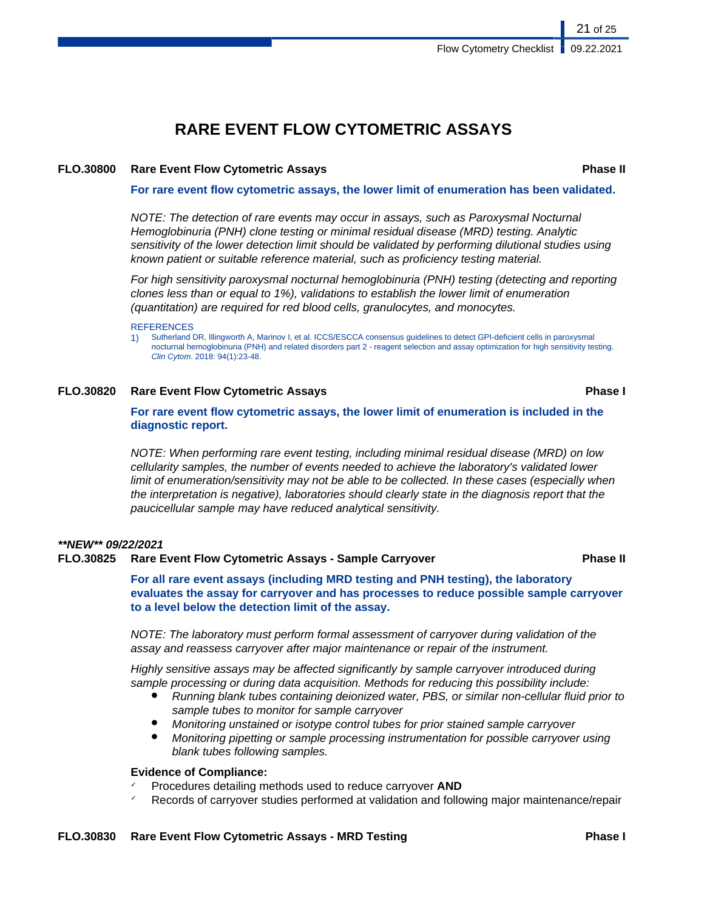## **RARE EVENT FLOW CYTOMETRIC ASSAYS**

#### **FLO.30800 Rare Event Flow Cytometric Assays Phase II**

**For rare event flow cytometric assays, the lower limit of enumeration has been validated.**

NOTE: The detection of rare events may occur in assays, such as Paroxysmal Nocturnal Hemoglobinuria (PNH) clone testing or minimal residual disease (MRD) testing. Analytic sensitivity of the lower detection limit should be validated by performing dilutional studies using known patient or suitable reference material, such as proficiency testing material.

For high sensitivity paroxysmal nocturnal hemoglobinuria (PNH) testing (detecting and reporting clones less than or equal to 1%), validations to establish the lower limit of enumeration (quantitation) are required for red blood cells, granulocytes, and monocytes.

#### **REFERENCES**

1) Sutherland DR, Illingworth A, Marinov I, et al. ICCS/ESCCA consensus guidelines to detect GPI-deficient cells in paroxysmal nocturnal hemoglobinuria (PNH) and related disorders part 2 - reagent selection and assay optimization for high sensitivity testing. Clin Cytom. 2018: 94(1):23-48.

#### **FLO.30820 Rare Event Flow Cytometric Assays Phase I**

**For rare event flow cytometric assays, the lower limit of enumeration is included in the diagnostic report.**

NOTE: When performing rare event testing, including minimal residual disease (MRD) on low cellularity samples, the number of events needed to achieve the laboratory's validated lower limit of enumeration/sensitivity may not be able to be collected. In these cases (especially when the interpretation is negative), laboratories should clearly state in the diagnosis report that the paucicellular sample may have reduced analytical sensitivity.

### **\*\*NEW\*\* 09/22/2021**

#### **FLO.30825 Rare Event Flow Cytometric Assays - Sample Carryover Phase II**

**For all rare event assays (including MRD testing and PNH testing), the laboratory evaluates the assay for carryover and has processes to reduce possible sample carryover to a level below the detection limit of the assay.**

NOTE: The laboratory must perform formal assessment of carryover during validation of the assay and reassess carryover after major maintenance or repair of the instrument.

Highly sensitive assays may be affected significantly by sample carryover introduced during sample processing or during data acquisition. Methods for reducing this possibility include:

- Running blank tubes containing deionized water, PBS, or similar non-cellular fluid prior to sample tubes to monitor for sample carryover
- Monitoring unstained or isotype control tubes for prior stained sample carryover
- Monitoring pipetting or sample processing instrumentation for possible carryover using blank tubes following samples.

#### **Evidence of Compliance:**

- ✓ Procedures detailing methods used to reduce carryover **AND**
- Records of carryover studies performed at validation and following major maintenance/repair

21 of 25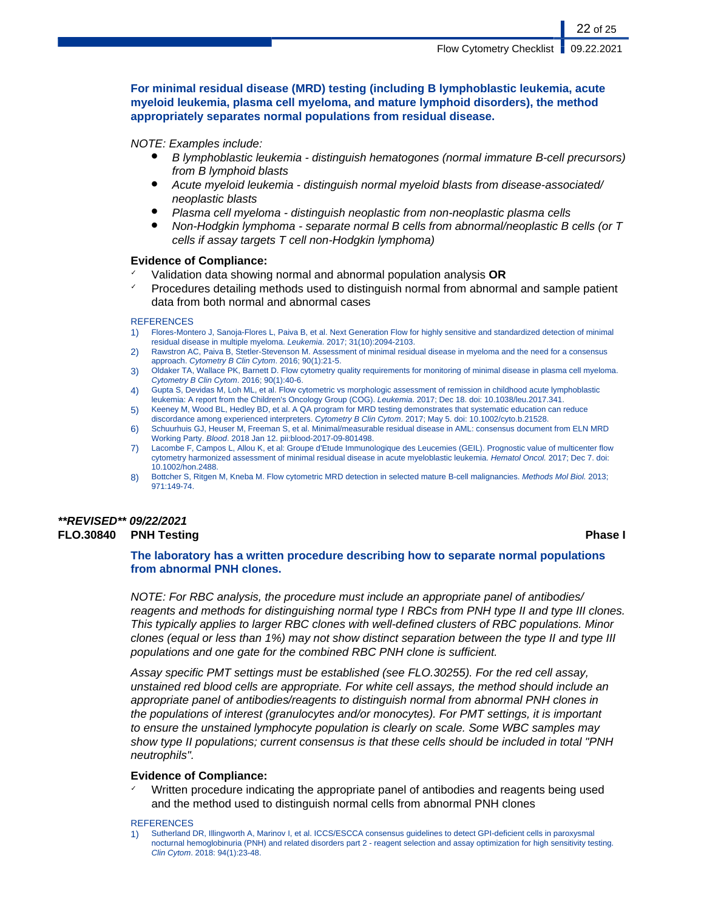**For minimal residual disease (MRD) testing (including B lymphoblastic leukemia, acute myeloid leukemia, plasma cell myeloma, and mature lymphoid disorders), the method appropriately separates normal populations from residual disease.**

#### NOTE: Examples include:

- B lymphoblastic leukemia distinguish hematogones (normal immature B-cell precursors) from B lymphoid blasts
- Acute myeloid leukemia distinguish normal myeloid blasts from disease-associated/ neoplastic blasts
- Plasma cell myeloma distinguish neoplastic from non-neoplastic plasma cells
- Non-Hodgkin lymphoma separate normal B cells from abnormal/neoplastic B cells (or  $T$ cells if assay targets T cell non-Hodgkin lymphoma)

#### **Evidence of Compliance:**

- ✓ Validation data showing normal and abnormal population analysis **OR**
- ✓ Procedures detailing methods used to distinguish normal from abnormal and sample patient data from both normal and abnormal cases

#### **REFERENCES**

- 1) Flores-Montero J, Sanoja-Flores L, Paiva B, et al. Next Generation Flow for highly sensitive and standardized detection of minimal residual disease in multiple myeloma. Leukemia. 2017; 31(10):2094-2103.
- 2) Rawstron AC, Paiva B, Stetler-Stevenson M. Assessment of minimal residual disease in myeloma and the need for a consensus approach. Cytometry B Clin Cytom. 2016; 90(1):21-5.
- 3) Oldaker TA, Wallace PK, Barnett D. Flow cytometry quality requirements for monitoring of minimal disease in plasma cell myeloma. Cytometry B Clin Cytom. 2016; 90(1):40-6.
- 4) Gupta S, Devidas M, Loh ML, et al. Flow cytometric vs morphologic assessment of remission in childhood acute lymphoblastic leukemia: A report from the Children's Oncology Group (COG). Leukemia. 2017; Dec 18. doi: 10.1038/leu.2017.341.
- 5) Keeney M, Wood BL, Hedley BD, et al. A QA program for MRD testing demonstrates that systematic education can reduce discordance among experienced interpreters. Cytometry B Clin Cytom. 2017; May 5. doi: 10.1002/cyto.b.21528.
- 6) Schuurhuis GJ, Heuser M, Freeman S, et al. Minimal/measurable residual disease in AML: consensus document from ELN MRD Working Party. Blood. 2018 Jan 12. pii:blood-2017-09-801498.
- Lacombe F, Campos L, Allou K, et al: Groupe d'Etude Immunologique des Leucemies (GEIL). Prognostic value of multicenter flow cytometry harmonized assessment of minimal residual disease in acute myeloblastic leukemia. Hematol Oncol. 2017; Dec 7. doi: 10.1002/hon.2488.
- 8) Bottcher S, Ritgen M, Kneba M. Flow cytometric MRD detection in selected mature B-cell malignancies. Methods Mol Biol. 2013; 971:149-74.

### **\*\*REVISED\*\* 09/22/2021 FLO.30840 PNH Testing Phase I**

### **The laboratory has a written procedure describing how to separate normal populations from abnormal PNH clones.**

NOTE: For RBC analysis, the procedure must include an appropriate panel of antibodies/ reagents and methods for distinguishing normal type I RBCs from PNH type II and type III clones. This typically applies to larger RBC clones with well-defined clusters of RBC populations. Minor clones (equal or less than 1%) may not show distinct separation between the type II and type III populations and one gate for the combined RBC PNH clone is sufficient.

Assay specific PMT settings must be established (see FLO.30255). For the red cell assay, unstained red blood cells are appropriate. For white cell assays, the method should include an appropriate panel of antibodies/reagents to distinguish normal from abnormal PNH clones in the populations of interest (granulocytes and/or monocytes). For PMT settings, it is important to ensure the unstained lymphocyte population is clearly on scale. Some WBC samples may show type II populations; current consensus is that these cells should be included in total "PNH neutrophils".

#### **Evidence of Compliance:**

Written procedure indicating the appropriate panel of antibodies and reagents being used and the method used to distinguish normal cells from abnormal PNH clones

#### **REFERENCES**

<sup>1)</sup> Sutherland DR, Illingworth A, Marinov I, et al. ICCS/ESCCA consensus guidelines to detect GPI-deficient cells in paroxysmal nocturnal hemoglobinuria (PNH) and related disorders part 2 - reagent selection and assay optimization for high sensitivity testing. Clin Cytom. 2018: 94(1):23-48.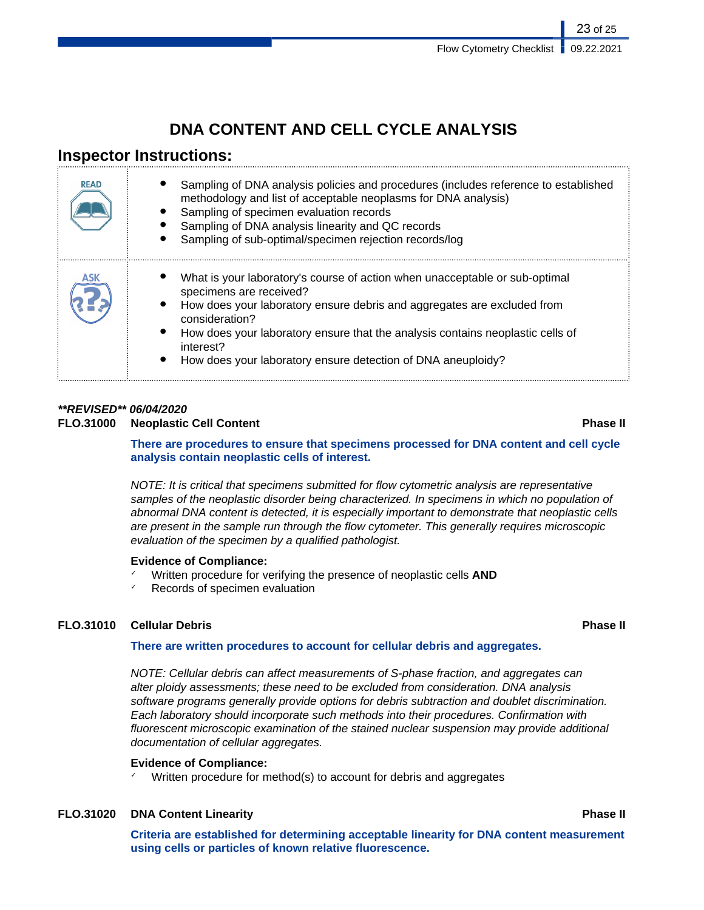## **DNA CONTENT AND CELL CYCLE ANALYSIS**

## **Inspector Instructions:**

| <b>READ</b> | Sampling of DNA analysis policies and procedures (includes reference to established<br>methodology and list of acceptable neoplasms for DNA analysis)<br>Sampling of specimen evaluation records<br>Sampling of DNA analysis linearity and QC records<br>Sampling of sub-optimal/specimen rejection records/log                                                    |
|-------------|--------------------------------------------------------------------------------------------------------------------------------------------------------------------------------------------------------------------------------------------------------------------------------------------------------------------------------------------------------------------|
| ASK         | What is your laboratory's course of action when unacceptable or sub-optimal<br>specimens are received?<br>How does your laboratory ensure debris and aggregates are excluded from<br>consideration?<br>How does your laboratory ensure that the analysis contains neoplastic cells of<br>interest?<br>How does your laboratory ensure detection of DNA aneuploidy? |

## **\*\*REVISED\*\* 06/04/2020**

### **FLO.31000 Neoplastic Cell Content Phase II**

**There are procedures to ensure that specimens processed for DNA content and cell cycle analysis contain neoplastic cells of interest.**

NOTE: It is critical that specimens submitted for flow cytometric analysis are representative samples of the neoplastic disorder being characterized. In specimens in which no population of abnormal DNA content is detected, it is especially important to demonstrate that neoplastic cells are present in the sample run through the flow cytometer. This generally requires microscopic evaluation of the specimen by a qualified pathologist.

### **Evidence of Compliance:**

- ✓ Written procedure for verifying the presence of neoplastic cells **AND**
- Records of specimen evaluation

### **FLO.31010 Cellular Debris Phase II**

#### **There are written procedures to account for cellular debris and aggregates.**

NOTE: Cellular debris can affect measurements of S-phase fraction, and aggregates can alter ploidy assessments; these need to be excluded from consideration. DNA analysis software programs generally provide options for debris subtraction and doublet discrimination. Each laboratory should incorporate such methods into their procedures. Confirmation with fluorescent microscopic examination of the stained nuclear suspension may provide additional documentation of cellular aggregates.

### **Evidence of Compliance:**

Written procedure for method(s) to account for debris and aggregates

### **FLO.31020 DNA Content Linearity Phase II**

**Criteria are established for determining acceptable linearity for DNA content measurement using cells or particles of known relative fluorescence.**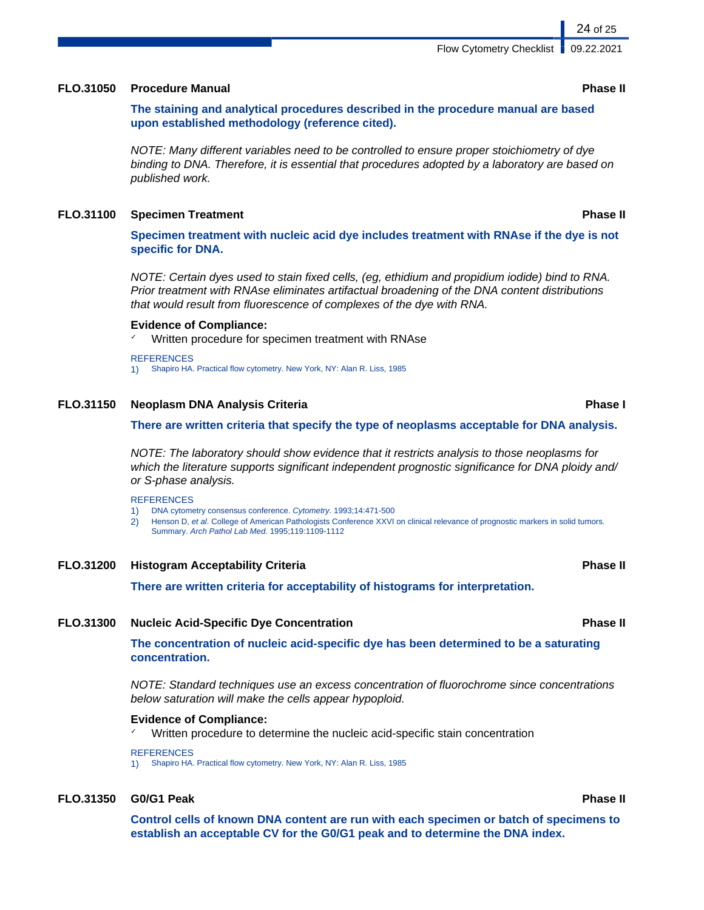#### **FLO.31050 Procedure Manual Phase II**

**The staining and analytical procedures described in the procedure manual are based upon established methodology (reference cited).**

NOTE: Many different variables need to be controlled to ensure proper stoichiometry of dye binding to DNA. Therefore, it is essential that procedures adopted by a laboratory are based on published work.

#### **FLO.31100 Specimen Treatment Phase II**

**Specimen treatment with nucleic acid dye includes treatment with RNAse if the dye is not specific for DNA.**

NOTE: Certain dyes used to stain fixed cells, (eg, ethidium and propidium iodide) bind to RNA. Prior treatment with RNAse eliminates artifactual broadening of the DNA content distributions that would result from fluorescence of complexes of the dye with RNA.

#### **Evidence of Compliance:**

Written procedure for specimen treatment with RNAse

**REFERENCES** 

1) Shapiro HA. Practical flow cytometry. New York, NY: Alan R. Liss, 1985

#### **FLO.31150 Neoplasm DNA Analysis Criteria Phase I**

#### **There are written criteria that specify the type of neoplasms acceptable for DNA analysis.**

NOTE: The laboratory should show evidence that it restricts analysis to those neoplasms for which the literature supports significant independent prognostic significance for DNA ploidy and/ or S-phase analysis.

#### **REFERENCES**

- 1) DNA cytometry consensus conference. Cytometry. 1993;14:471-500
- 2) Henson D, et al. College of American Pathologists Conference XXVI on clinical relevance of prognostic markers in solid tumors.
	- Summary. Arch Pathol Lab Med. 1995;119:1109-1112

#### **FLO.31200 Histogram Acceptability Criteria Phase II**

**There are written criteria for acceptability of histograms for interpretation.**

#### **FLO.31300 Nucleic Acid-Specific Dye Concentration Phase II**

**The concentration of nucleic acid-specific dye has been determined to be a saturating concentration.**

NOTE: Standard techniques use an excess concentration of fluorochrome since concentrations below saturation will make the cells appear hypoploid.

## **Evidence of Compliance:**

✓ Written procedure to determine the nucleic acid-specific stain concentration

#### **REFERENCES**

1) Shapiro HA. Practical flow cytometry. New York, NY: Alan R. Liss, 1985

### **FLO.31350 G0/G1 Peak Phase II**

**Control cells of known DNA content are run with each specimen or batch of specimens to establish an acceptable CV for the G0/G1 peak and to determine the DNA index.**